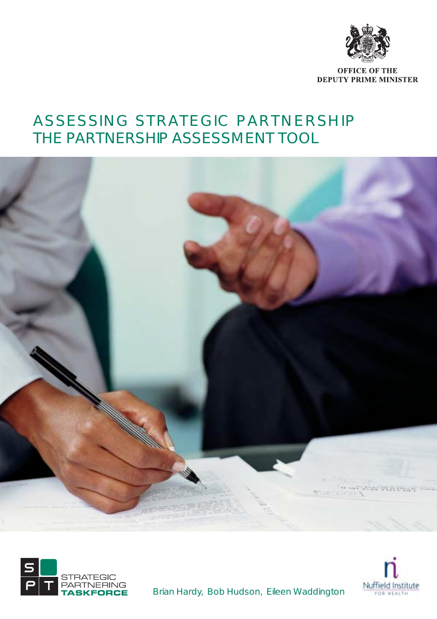

**OFFICE OF THE DEPUTY PRIME MINISTER** 

### ASSESSING STRATEGIC PARTNERSHIP THE PARTNERSHIP ASSESSMENT TOOL







Brian Hardy, Bob Hudson, Eileen Waddington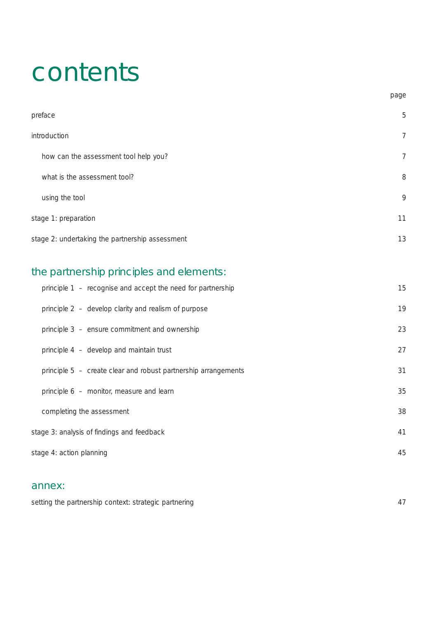### contents

| preface                                         | 5  |
|-------------------------------------------------|----|
| introduction                                    | 7  |
| how can the assessment tool help you?           | 7  |
| what is the assessment tool?                    | 8  |
| using the tool                                  | 9  |
| stage 1: preparation                            | 11 |
| stage 2: undertaking the partnership assessment | 13 |

page

### the partnership principles and elements:

| principle 1 – recognise and accept the need for partnership    | 15 |
|----------------------------------------------------------------|----|
| principle 2 - develop clarity and realism of purpose           | 19 |
| principle 3 - ensure commitment and ownership                  | 23 |
| principle 4 - develop and maintain trust                       | 27 |
| principle 5 - create clear and robust partnership arrangements | 31 |
| principle 6 - monitor, measure and learn                       | 35 |
| completing the assessment                                      | 38 |
| stage 3: analysis of findings and feedback                     | 41 |
| stage 4: action planning                                       | 45 |
|                                                                |    |

#### annex:

| setting the partnership context: strategic partnering |  |
|-------------------------------------------------------|--|
|-------------------------------------------------------|--|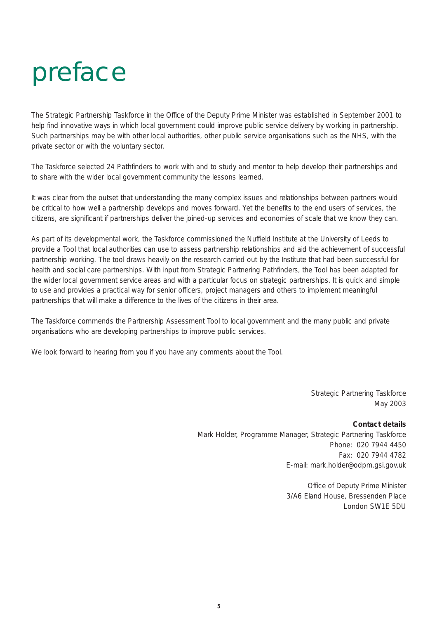### preface

The Strategic Partnership Taskforce in the Office of the Deputy Prime Minister was established in September 2001 to help find innovative ways in which local government could improve public service delivery by working in partnership. Such partnerships may be with other local authorities, other public service organisations such as the NHS, with the private sector or with the voluntary sector.

The Taskforce selected 24 Pathfinders to work with and to study and mentor to help develop their partnerships and to share with the wider local government community the lessons learned.

It was clear from the outset that understanding the many complex issues and relationships between partners would be critical to how well a partnership develops and moves forward. Yet the benefits to the end users of services, the citizens, are significant if partnerships deliver the joined-up services and economies of scale that we know they can.

As part of its developmental work, the Taskforce commissioned the Nuffield Institute at the University of Leeds to provide a Tool that local authorities can use to assess partnership relationships and aid the achievement of successful partnership working. The tool draws heavily on the research carried out by the Institute that had been successful for health and social care partnerships. With input from Strategic Partnering Pathfinders, the Tool has been adapted for the wider local government service areas and with a particular focus on strategic partnerships. It is quick and simple to use and provides a practical way for senior officers, project managers and others to implement meaningful partnerships that will make a difference to the lives of the citizens in their area.

The Taskforce commends the Partnership Assessment Tool to local government and the many public and private organisations who are developing partnerships to improve public services.

We look forward to hearing from you if you have any comments about the Tool.

Strategic Partnering Taskforce May 2003

#### **Contact details**

Mark Holder, Programme Manager, Strategic Partnering Taskforce Phone: 020 7944 4450 Fax: 020 7944 4782 E-mail: mark.holder@odpm.gsi.gov.uk

> Office of Deputy Prime Minister 3/A6 Eland House, Bressenden Place London SW1E 5DU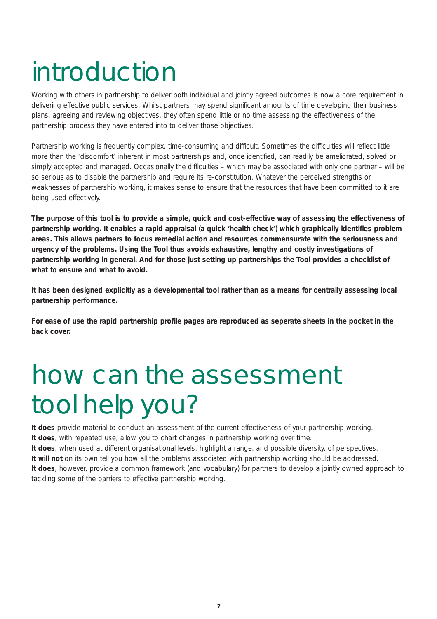### introduction

Working with others in partnership to deliver both individual and jointly agreed outcomes is now a core requirement in delivering effective public services. Whilst partners may spend significant amounts of time developing their business plans, agreeing and reviewing objectives, they often spend little or no time assessing the effectiveness of the partnership process they have entered into to deliver those objectives.

Partnership working is frequently complex, time-consuming and difficult. Sometimes the difficulties will reflect little more than the 'discomfort' inherent in most partnerships and, once identified, can readily be ameliorated, solved or simply accepted and managed. Occasionally the difficulties – which may be associated with only one partner – will be so serious as to disable the partnership and require its re-constitution. Whatever the perceived strengths or weaknesses of partnership working, it makes sense to ensure that the resources that have been committed to it are being used effectively.

**The purpose of this tool is to provide a simple, quick and cost-effective way of assessing the effectiveness of partnership working. It enables a rapid appraisal (a quick 'health check') which graphically identifies problem areas. This allows partners to focus remedial action and resources commensurate with the seriousness and urgency of the problems. Using the Tool thus avoids exhaustive, lengthy and costly investigations of partnership working in general. And for those just setting up partnerships the Tool provides a checklist of what to ensure and what to avoid.**

**It has been designed explicitly as a developmental tool rather than as a means for centrally assessing local partnership performance.**

**For ease of use the rapid partnership profile pages are reproduced as seperate sheets in the pocket in the back cover.**

# how can the assessment tool help you?

**It does** provide material to conduct an assessment of the current effectiveness of your partnership working. **It does**, with repeated use, allow you to chart changes in partnership working over time.

**It does**, when used at different organisational levels, highlight a range, and possible diversity, of perspectives. **It will not** on its own tell you how all the problems associated with partnership working should be addressed. **It does**, however, provide a common framework (and vocabulary) for partners to develop a jointly owned approach to tackling some of the barriers to effective partnership working.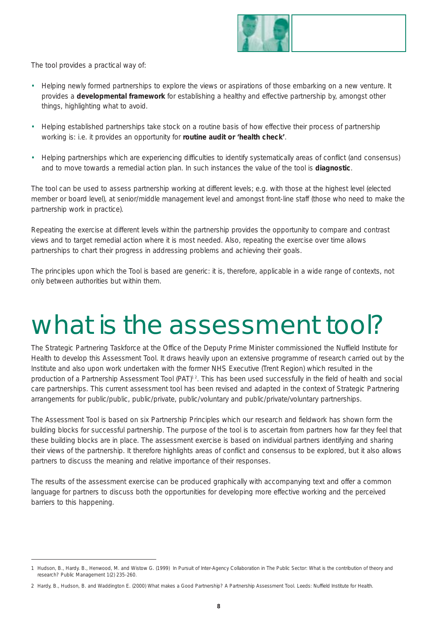

The tool provides a practical way of:

- Helping newly formed partnerships to explore the views or aspirations of those embarking on a new venture. It provides a **developmental framework** for establishing a healthy and effective partnership by, amongst other things, highlighting what to avoid.
- Helping established partnerships take stock on a routine basis of how effective their process of partnership working is: i.e. it provides an opportunity for **routine audit or 'health check'**.
- Helping partnerships which are experiencing difficulties to identify systematically areas of conflict (and consensus) and to move towards a remedial action plan. In such instances the value of the tool is **diagnostic**.

The tool can be used to assess partnership working at different levels; e.g. with those at the highest level (elected member or board level), at senior/middle management level and amongst front-line staff (those who need to make the partnership work in practice).

Repeating the exercise at different levels within the partnership provides the opportunity to compare and contrast views and to target remedial action where it is most needed. Also, repeating the exercise over time allows partnerships to chart their progress in addressing problems and achieving their goals.

The principles upon which the Tool is based are generic: it is, therefore, applicable in a wide range of contexts, not only between authorities but within them.

### what is the assessment tool?

The Strategic Partnering Taskforce at the Office of the Deputy Prime Minister commissioned the Nuffield Institute for Health to develop this Assessment Tool. It draws heavily upon an extensive programme of research carried out by the Institute and also upon work undertaken with the former NHS Executive (Trent Region) which resulted in the production of a Partnership Assessment Tool (PAT)<sup>12</sup>. This has been used successfully in the field of health and social care partnerships. This current assessment tool has been revised and adapted in the context of Strategic Partnering arrangements for public/public, public/private, public/voluntary and public/private/voluntary partnerships.

The Assessment Tool is based on six Partnership Principles which our research and fieldwork has shown form the building blocks for successful partnership. The purpose of the tool is to ascertain from partners how far they feel that these building blocks are in place. The assessment exercise is based on individual partners identifying and sharing their views of the partnership. It therefore highlights areas of conflict and consensus to be explored, but it also allows partners to discuss the meaning and relative importance of their responses.

The results of the assessment exercise can be produced graphically with accompanying text and offer a common language for partners to discuss both the opportunities for developing more effective working and the perceived barriers to this happening.

<sup>1</sup> Hudson, B., Hardy. B., Henwood, M. and Wistow G. (1999) In Pursuit of Inter-Agency Collaboration in The Public Sector: What is the contribution of theory and research? *Public Management* 1(2) 235-260.

<sup>2</sup> Hardy, B., Hudson, B. and Waddington E. (2000) *What makes a Good Partnership? A Partnership Assessment Tool*. Leeds: Nuffield Institute for Health.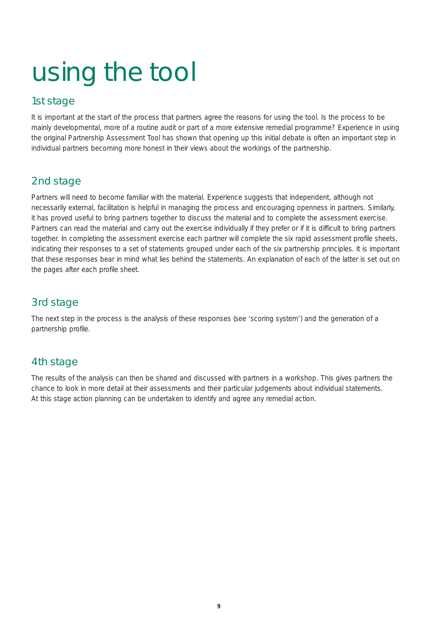# using the tool

#### 1st stage

It is important at the start of the process that partners agree the reasons for using the tool. Is the process to be mainly developmental, more of a routine audit or part of a more extensive remedial programme? Experience in using the original Partnership Assessment Tool has shown that opening up this initial debate is often an important step in individual partners becoming more honest in their views about the workings of the partnership.

### 2nd stage

Partners will need to become familiar with the material. Experience suggests that independent, although not necessarily external, facilitation is helpful in managing the process and encouraging openness in partners. Similarly, it has proved useful to bring partners together to discuss the material and to complete the assessment exercise. Partners can read the material and carry out the exercise individually if they prefer or if it is difficult to bring partners together. In completing the assessment exercise each partner will complete the six rapid assessment profile sheets, indicating their responses to a set of statements grouped under each of the six partnership principles. It is important that these responses bear in mind what lies behind the statements. An explanation of each of the latter is set out on the pages after each profile sheet.

### 3rd stage

The next step in the process is the analysis of these responses (see 'scoring system') and the generation of a partnership profile.

### 4th stage

The results of the analysis can then be shared and discussed with partners in a workshop. This gives partners the chance to look in more detail at their assessments and their particular judgements about individual statements. At this stage action planning can be undertaken to identify and agree any remedial action.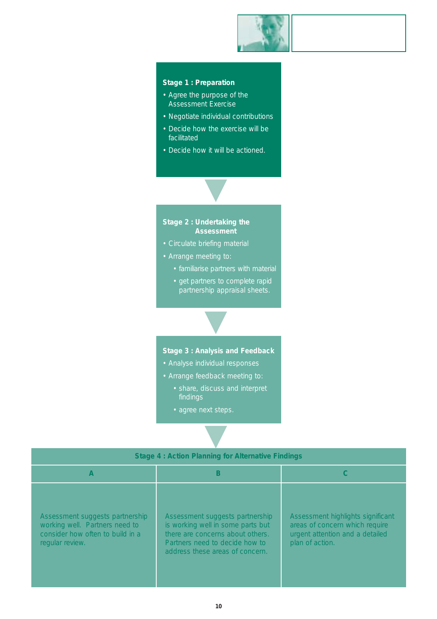

#### **Stage 1 : Preparation**

- Agree the purpose of the Assessment Exercise
- Negotiate individual contributions
- Decide how the exercise will be facilitated
- Decide how it will be actioned.

▼



- 
- Arrange meeting to:
	- familiarise partners with material
	- get partners to complete rapid partnership appraisal sheets.

**Stage 3 : Analysis and Feedback** 

▼

- Analyse individual responses
- Arrange feedback meeting to:
	- share, discuss and interpret findings
	- agree next steps.

|                                                                                                                          | <b>Stage 4: Action Planning for Alternative Findings</b>                                                                                                                      |                                                                                                                           |
|--------------------------------------------------------------------------------------------------------------------------|-------------------------------------------------------------------------------------------------------------------------------------------------------------------------------|---------------------------------------------------------------------------------------------------------------------------|
| A                                                                                                                        | B                                                                                                                                                                             |                                                                                                                           |
| Assessment suggests partnership<br>working well. Partners need to<br>consider how often to build in a<br>regular review. | Assessment suggests partnership<br>is working well in some parts but<br>there are concerns about others.<br>Partners need to decide how to<br>address these areas of concern. | Assessment highlights significant<br>areas of concern which require<br>urgent attention and a detailed<br>plan of action. |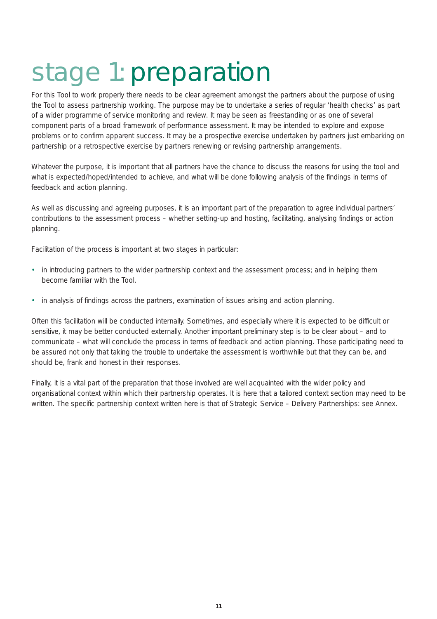### stage 1: preparation

For this Tool to work properly there needs to be clear agreement amongst the partners about the purpose of using the Tool to assess partnership working. The purpose may be to undertake a series of regular 'health checks' as part of a wider programme of service monitoring and review. It may be seen as freestanding or as one of several component parts of a broad framework of performance assessment. It may be intended to explore and expose problems or to confirm apparent success. It may be a prospective exercise undertaken by partners just embarking on partnership or a retrospective exercise by partners renewing or revising partnership arrangements.

Whatever the purpose, it is important that all partners have the chance to discuss the reasons for using the tool and what is expected/hoped/intended to achieve, and what will be done following analysis of the findings in terms of feedback and action planning.

As well as discussing and agreeing purposes, it is an important part of the preparation to agree individual partners' contributions to the assessment process – whether setting-up and hosting, facilitating, analysing findings or action planning.

Facilitation of the process is important at two stages in particular:

- in introducing partners to the wider partnership context and the assessment process; and in helping them become familiar with the Tool.
- in analysis of findings across the partners, examination of issues arising and action planning.

Often this facilitation will be conducted internally. Sometimes, and especially where it is expected to be difficult or sensitive, it may be better conducted externally. Another important preliminary step is to be clear about – and to communicate – what will conclude the process in terms of feedback and action planning. Those participating need to be assured not only that taking the trouble to undertake the assessment is worthwhile but that they can be, and should be, frank and honest in their responses.

Finally, it is a vital part of the preparation that those involved are well acquainted with the wider policy and organisational context within which their partnership operates. It is here that a tailored context section may need to be written. The specific partnership context written here is that of Strategic Service – Delivery Partnerships: see Annex.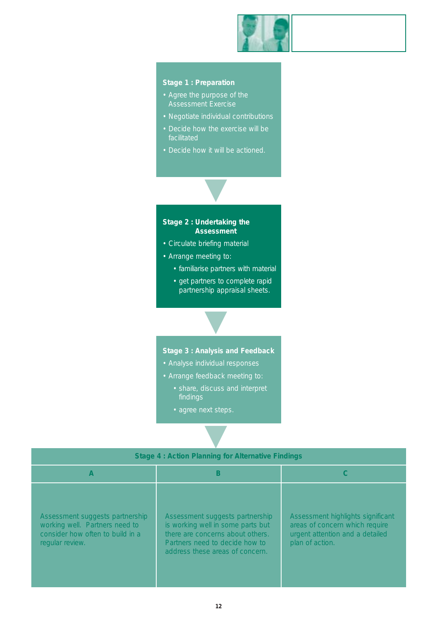

#### **Stage 1 : Preparation**

- Agree the purpose of the
- Negotiate individual contributions
- Decide how the exercise will be facilitated
- Decide how it will be actioned.



- Circulate briefing material
- Arrange meeting to:
	- familiarise partners with material
	- get partners to complete rapid partnership appraisal sheets.

**Stage 3 : Analysis and Feedback** 

▼

- Analyse individual responses
- Arrange feedback meeting to:
	- share, discuss and interpret findings
	- agree next steps.

|                                                                                                                          | <b>Stage 4: Action Planning for Alternative Findings</b>                                                                                                                      |                                                                                                                           |
|--------------------------------------------------------------------------------------------------------------------------|-------------------------------------------------------------------------------------------------------------------------------------------------------------------------------|---------------------------------------------------------------------------------------------------------------------------|
| A                                                                                                                        | B                                                                                                                                                                             |                                                                                                                           |
| Assessment suggests partnership<br>working well. Partners need to<br>consider how often to build in a<br>regular review. | Assessment suggests partnership<br>is working well in some parts but<br>there are concerns about others.<br>Partners need to decide how to<br>address these areas of concern. | Assessment highlights significant<br>areas of concern which require<br>urgent attention and a detailed<br>plan of action. |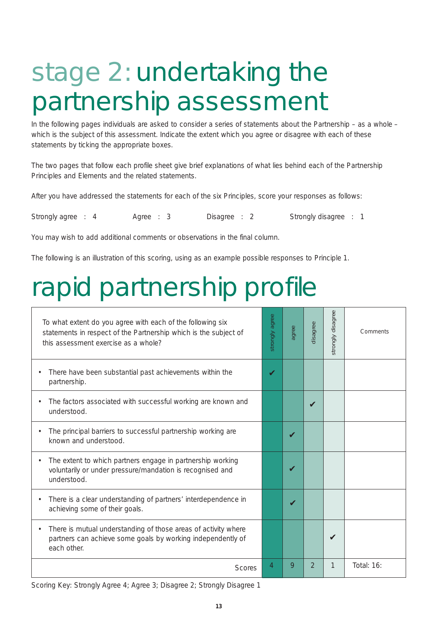## stage 2: undertaking the partnership assessment

In the following pages individuals are asked to consider a series of statements about the Partnership – as a whole – which is the subject of this assessment. Indicate the extent which you agree or disagree with each of these statements by ticking the appropriate boxes.

The two pages that follow each profile sheet give brief explanations of what lies behind each of the Partnership Principles and Elements and the related statements.

After you have addressed the statements for each of the six Principles, score your responses as follows:

Strongly agree : 4 Agree : 3 Disagree : 2 Strongly disagree : 1

You may wish to add additional comments or observations in the final column.

The following is an illustration of this scoring, using as an example possible responses to Principle 1.

### rapid partnership profile

| To what extent do you agree with each of the following six<br>statements in respect of the Partnership which is the subject of<br>this assessment exercise as a whole? | strongly agree | agree                      | disagree | strongly disagree | Comments   |
|------------------------------------------------------------------------------------------------------------------------------------------------------------------------|----------------|----------------------------|----------|-------------------|------------|
| There have been substantial past achievements within the<br>$\bullet$<br>partnership.                                                                                  | ✔              |                            |          |                   |            |
| The factors associated with successful working are known and<br>$\bullet$<br>understood.                                                                               |                |                            | V        |                   |            |
| The principal barriers to successful partnership working are<br>$\bullet$<br>known and understood.                                                                     |                | $\boldsymbol{\nu}$         |          |                   |            |
| The extent to which partners engage in partnership working<br>$\bullet$<br>voluntarily or under pressure/mandation is recognised and<br>understood.                    |                | $\boldsymbol{\mathcal{U}}$ |          |                   |            |
| There is a clear understanding of partners' interdependence in<br>$\bullet$<br>achieving some of their goals.                                                          |                |                            |          |                   |            |
| There is mutual understanding of those areas of activity where<br>$\bullet$<br>partners can achieve some goals by working independently of<br>each other.              |                |                            |          |                   |            |
| <b>Scores</b>                                                                                                                                                          | 4              | 9                          | 2        | 1                 | Total: 16: |

Scoring Key: Strongly Agree 4; Agree 3; Disagree 2; Strongly Disagree 1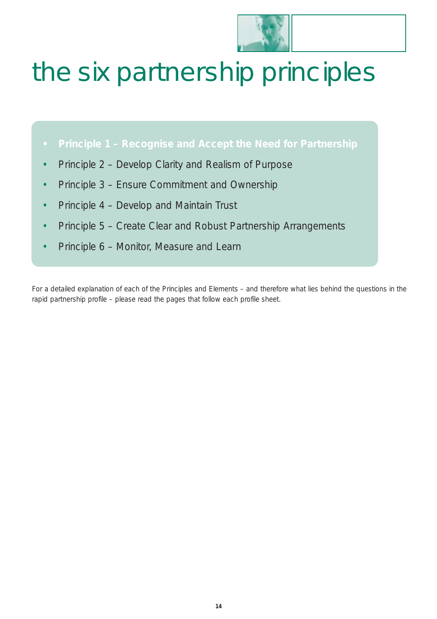

# the six partnership principles

- **• Principle 1 Recognise and Accept the Need for Partnership**
- Principle 2 Develop Clarity and Realism of Purpose
- Principle 3 Ensure Commitment and Ownership
- Principle 4 Develop and Maintain Trust
- Principle 5 Create Clear and Robust Partnership Arrangements
- Principle 6 Monitor, Measure and Learn

For a detailed explanation of each of the Principles and Elements – and therefore what lies behind the questions in the rapid partnership profile – please read the pages that follow each profile sheet.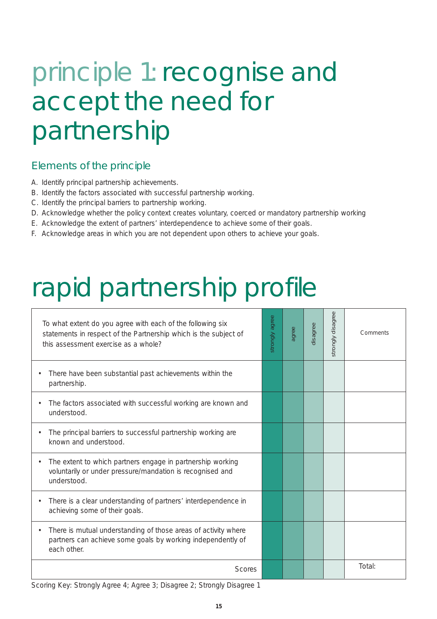### principle 1: recognise and accept the need for partnership

#### Elements of the principle

- A. Identify principal partnership achievements.
- B. Identify the factors associated with successful partnership working.
- C. Identify the principal barriers to partnership working.
- D. Acknowledge whether the policy context creates voluntary, coerced or mandatory partnership working
- E. Acknowledge the extent of partners' interdependence to achieve some of their goals.
- F. Acknowledge areas in which you are not dependent upon others to achieve your goals.

### rapid partnership profile

| To what extent do you agree with each of the following six<br>statements in respect of the Partnership which is the subject of<br>this assessment exercise as a whole? | strongly agree | agree | disagree | strongly disagree | Comments |
|------------------------------------------------------------------------------------------------------------------------------------------------------------------------|----------------|-------|----------|-------------------|----------|
| There have been substantial past achievements within the<br>$\bullet$<br>partnership.                                                                                  |                |       |          |                   |          |
| The factors associated with successful working are known and<br>$\bullet$<br>understood.                                                                               |                |       |          |                   |          |
| The principal barriers to successful partnership working are<br>$\bullet$<br>known and understood.                                                                     |                |       |          |                   |          |
| The extent to which partners engage in partnership working<br>$\bullet$<br>voluntarily or under pressure/mandation is recognised and<br>understood.                    |                |       |          |                   |          |
| There is a clear understanding of partners' interdependence in<br>$\bullet$<br>achieving some of their goals.                                                          |                |       |          |                   |          |
| There is mutual understanding of those areas of activity where<br>$\bullet$<br>partners can achieve some goals by working independently of<br>each other.              |                |       |          |                   |          |
| <b>Scores</b>                                                                                                                                                          |                |       |          |                   | Total:   |

Scoring Key: Strongly Agree 4; Agree 3; Disagree 2; Strongly Disagree 1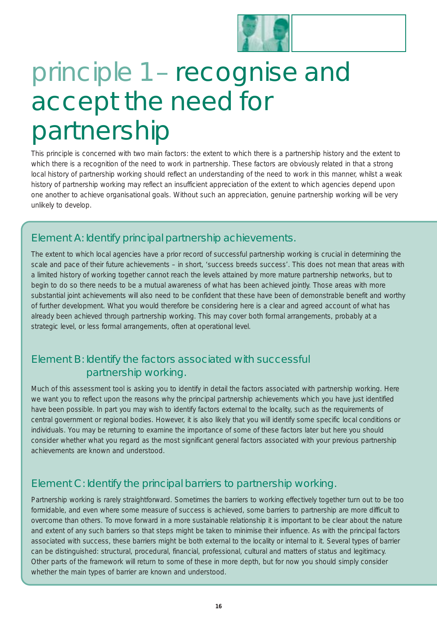

### principle 1 – recognise and accept the need for partnership

This principle is concerned with two main factors: the extent to which there is a *partnership history* and the extent to which there is *a recognition of the need* to work in partnership. These factors are obviously related in that a strong local history of partnership working should reflect an understanding of the need to work in this manner, whilst a weak history of partnership working may reflect an insufficient appreciation of the extent to which agencies depend upon one another to achieve organisational goals. Without such an appreciation, genuine partnership working will be very unlikely to develop.

### Element A: Identify principal partnership achievements.

The extent to which local agencies have a prior record of successful partnership working is crucial in determining the scale and pace of their future achievements – in short, 'success breeds success'. This does not mean that areas with a limited history of working together cannot reach the levels attained by more mature partnership networks, but to begin to do so there needs to be a mutual awareness of what *has* been achieved jointly. Those areas with more substantial joint achievements will also need to be confident that these have been of demonstrable benefit and worthy of further development. What you would therefore be considering here is a clear and agreed account of what has *already* been achieved through partnership working. This may cover both formal arrangements, probably at a strategic level, or less formal arrangements, often at operational level.

### Element B: Identify the factors associated with successful partnership working.

Much of this assessment tool is asking you to identify in detail the factors associated with partnership working. Here we want you to reflect upon the reasons *why* the principal partnership achievements which you have just identified have been possible. In part you may wish to identify factors *external* to the locality, such as the requirements of central government or regional bodies. However, it is also likely that you will identify some specific *local* conditions or individuals. You may be returning to examine the importance of some of these factors later but here you should consider whether what you regard as the most significant *general* factors associated with your previous partnership achievements are known and understood.

### Element C: Identify the principal barriers to partnership working.

Partnership working is rarely straightforward. Sometimes the barriers to working effectively together turn out to be too formidable, and even where some measure of success *is* achieved, some barriers to partnership are more difficult to overcome than others. To move forward in a more sustainable relationship it is important to be clear about the nature and extent of any such barriers so that steps might be taken to minimise their influence. As with the principal factors associated with success, these barriers might be both external to the locality or internal to it. Several types of barrier can be distinguished: structural, procedural, financial, professional, cultural and matters of status and legitimacy. Other parts of the framework will return to some of these in more depth, but for now you should simply consider whether the main types of barrier are known and understood.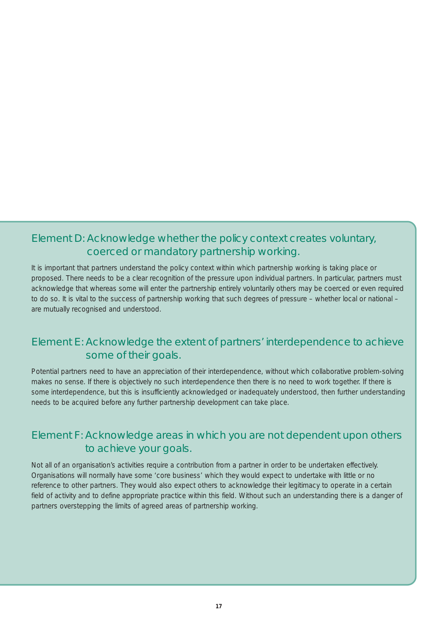### Element D: Acknowledge whether the policy context creates voluntary, coerced or mandatory partnership working.

It is important that partners understand the policy context within which partnership working is taking place or proposed. There needs to be a clear recognition of the pressure upon individual partners. In particular, partners must acknowledge that whereas some will enter the partnership entirely voluntarily others may be coerced or even required to do so. It is vital to the success of partnership working that such degrees of pressure – whether local or national – are mutually recognised and understood.

### Element E: Acknowledge the extent of partners' interdependence to achieve some of their goals.

Potential partners need to have an appreciation of their interdependence, without which collaborative problem-solving makes no sense. If there is objectively *no* such interdependence then there is *no* need to work together. If there *is* some interdependence, but this is insufficiently acknowledged or inadequately understood, then further understanding needs to be acquired before any further partnership development can take place.

### Element F: Acknowledge areas in which you are not dependent upon others to achieve your goals.

Not all of an organisation's activities require a contribution from a partner in order to be undertaken effectively. Organisations will normally have some 'core business' which they would expect to undertake with little or no reference to other partners. They would also expect others to acknowledge their legitimacy to operate in a certain field of activity and to define appropriate practice within this field. Without such an understanding there is a danger of partners overstepping the limits of agreed areas of partnership working.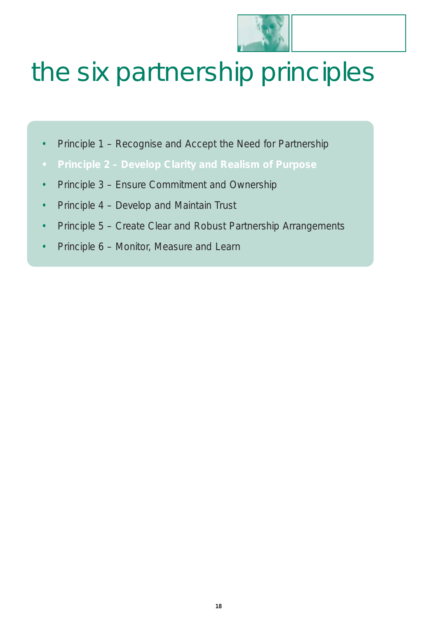

# the six partnership principles

- Principle 1 Recognise and Accept the Need for Partnership
- **• Principle 2 Develop Clarity and Realism of Purpose**
- Principle 3 Ensure Commitment and Ownership
- Principle 4 Develop and Maintain Trust
- Principle 5 Create Clear and Robust Partnership Arrangements
- Principle 6 Monitor, Measure and Learn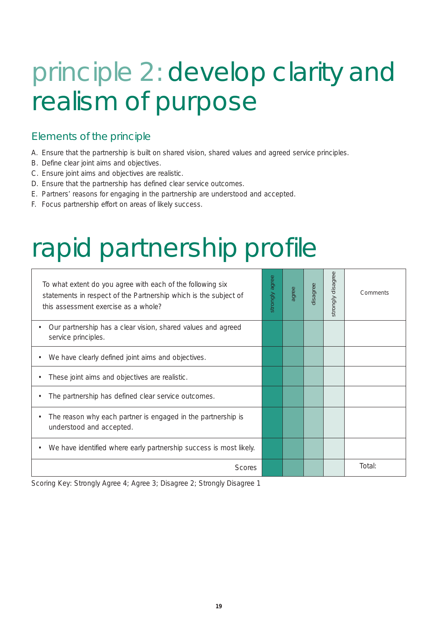# principle 2: develop clarity and realism of purpose

### Elements of the principle

- A. Ensure that the partnership is built on shared vision, shared values and agreed service principles.
- B. Define clear joint aims and objectives.
- C. Ensure joint aims and objectives are realistic.
- D. Ensure that the partnership has defined clear service outcomes.
- E. Partners' reasons for engaging in the partnership are understood and accepted.
- F. Focus partnership effort on areas of likely success.

# rapid partnership profile

| To what extent do you agree with each of the following six<br>statements in respect of the Partnership which is the subject of<br>this assessment exercise as a whole? | agree<br>strongly | agree | disagree | disagree<br>strongly | Comments |
|------------------------------------------------------------------------------------------------------------------------------------------------------------------------|-------------------|-------|----------|----------------------|----------|
| Our partnership has a clear vision, shared values and agreed<br>$\bullet$<br>service principles.                                                                       |                   |       |          |                      |          |
| We have clearly defined joint aims and objectives.<br>۰                                                                                                                |                   |       |          |                      |          |
| These joint aims and objectives are realistic.                                                                                                                         |                   |       |          |                      |          |
| The partnership has defined clear service outcomes.<br>٠                                                                                                               |                   |       |          |                      |          |
| The reason why each partner is engaged in the partnership is<br>$\bullet$<br>understood and accepted.                                                                  |                   |       |          |                      |          |
| We have identified where early partnership success is most likely.<br>$\bullet$                                                                                        |                   |       |          |                      |          |
| Scores                                                                                                                                                                 |                   |       |          |                      | Total:   |

Scoring Key: Strongly Agree 4; Agree 3; Disagree 2; Strongly Disagree 1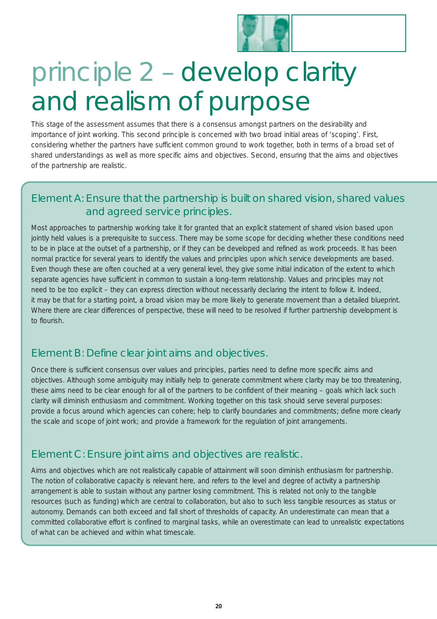

# principle 2 – develop clarity and realism of purpose

This stage of the assessment assumes that there is a consensus amongst partners on the desirability and importance of joint working. This second principle is concerned with two broad initial areas of 'scoping'. First, considering whether the partners have sufficient common ground to work together, both in terms of a broad set of shared understandings as well as more specific aims and objectives. Second, ensuring that the aims and objectives of the partnership are realistic.

### Element A: Ensure that the partnership is built on shared vision, shared values and agreed service principles.

Most approaches to partnership working take it for granted that an explicit statement of shared vision based upon jointly held values is a prerequisite to success. There may be some scope for deciding whether these conditions need to be in place at the outset of a partnership, or if they can be developed and refined as work proceeds. It has been normal practice for several years to identify the values and principles upon which service developments are based. Even though these are often couched at a very general level, they give some initial indication of the extent to which separate agencies have sufficient in common to sustain a long-term relationship. Values and principles may not need to be too explicit – they can express direction without necessarily declaring the intent to follow it. Indeed, it may be that for a starting point, a broad vision may be more likely to generate movement than a detailed blueprint. Where there are clear differences of perspective, these will need to be resolved if further partnership development is to flourish.

#### Element B: Define clear joint aims and objectives.

Once there is sufficient consensus over values and principles, parties need to define more specific aims and objectives. Although some ambiguity may initially help to generate commitment where clarity may be too threatening, these aims need to be clear enough for all of the partners to be confident of their meaning – goals which lack such clarity will diminish enthusiasm and commitment. Working together on this task should serve several purposes: provide a focus around which agencies can cohere; help to clarify boundaries and commitments; define more clearly the scale and scope of joint work; and provide a framework for the regulation of joint arrangements.

### Element C: Ensure joint aims and objectives are realistic.

Aims and objectives which are not realistically capable of attainment will soon diminish enthusiasm for partnership. The notion of collaborative capacity is relevant here, and refers to the level and degree of activity a partnership arrangement is able to sustain without any partner losing commitment. This is related not only to the tangible resources (such as funding) which are central to collaboration, but also to such less tangible resources as status or autonomy. Demands can both exceed and fall short of thresholds of capacity. An underestimate can mean that a committed collaborative effort is confined to marginal tasks, while an overestimate can lead to unrealistic expectations of what can be achieved and within what timescale.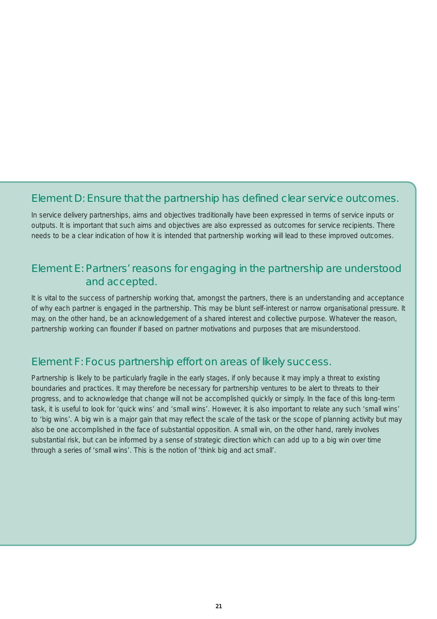### Element D: Ensure that the partnership has defined clear service outcomes.

In service delivery partnerships, aims and objectives traditionally have been expressed in terms of service inputs or outputs. It is important that such aims and objectives are also expressed as outcomes for service recipients. There needs to be a clear indication of how it is intended that partnership working will lead to these improved outcomes.

#### Element E: Partners' reasons for engaging in the partnership are understood and accepted.

It is vital to the success of partnership working that, amongst the partners, there is an understanding and acceptance of why each partner is engaged in the partnership. This may be blunt self-interest or narrow organisational pressure. It may, on the other hand, be an acknowledgement of a shared interest and collective purpose. Whatever the reason, partnership working can flounder if based on partner motivations and purposes that are misunderstood.

#### Element F: Focus partnership effort on areas of likely success.

Partnership is likely to be particularly fragile in the early stages, if only because it may imply a threat to existing boundaries and practices. It may therefore be necessary for partnership ventures to be alert to threats to their progress, and to acknowledge that change will not be accomplished quickly or simply. In the face of this long-term task, it is useful to look for 'quick wins' and 'small wins'. However, it is also important to relate any such 'small wins' to 'big wins'. A big win is a major gain that may reflect the scale of the task or the scope of planning activity but may also be one accomplished in the face of substantial opposition. A small win, on the other hand, rarely involves substantial risk, but can be informed by a sense of strategic direction which can add up to a big win over time through a series of 'small wins'. This is the notion of 'think big and act small'.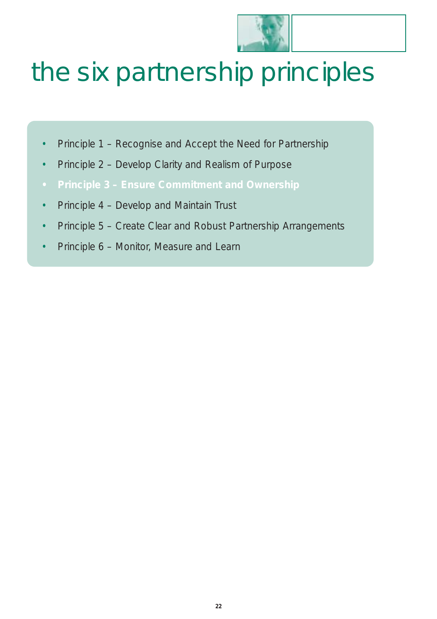

# the six partnership principles

- Principle 1 Recognise and Accept the Need for Partnership
- Principle 2 Develop Clarity and Realism of Purpose
- **• Principle 3 Ensure Commitment and Ownership**
- Principle 4 Develop and Maintain Trust
- Principle 5 Create Clear and Robust Partnership Arrangements
- Principle 6 Monitor, Measure and Learn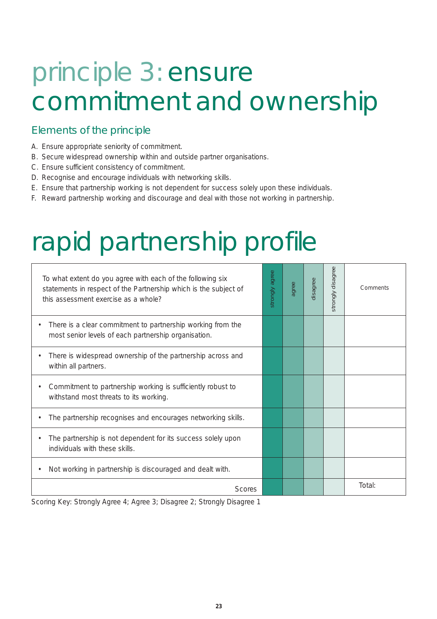# principle 3: ensure commitment and ownership

### Elements of the principle

- A. Ensure appropriate seniority of commitment.
- B. Secure widespread ownership within and outside partner organisations.
- C. Ensure sufficient consistency of commitment.
- D. Recognise and encourage individuals with networking skills.
- E. Ensure that partnership working is not dependent for success solely upon these individuals.
- F. Reward partnership working and discourage and deal with those not working in partnership.

### rapid partnership profile

| To what extent do you agree with each of the following six<br>statements in respect of the Partnership which is the subject of<br>this assessment exercise as a whole? | agree<br>strongly | agree | disagree | strongly disagree | Comments |
|------------------------------------------------------------------------------------------------------------------------------------------------------------------------|-------------------|-------|----------|-------------------|----------|
| There is a clear commitment to partnership working from the<br>most senior levels of each partnership organisation.                                                    |                   |       |          |                   |          |
| There is widespread ownership of the partnership across and<br>within all partners.                                                                                    |                   |       |          |                   |          |
| Commitment to partnership working is sufficiently robust to<br>withstand most threats to its working.                                                                  |                   |       |          |                   |          |
| The partnership recognises and encourages networking skills.                                                                                                           |                   |       |          |                   |          |
| The partnership is not dependent for its success solely upon<br>individuals with these skills.                                                                         |                   |       |          |                   |          |
| Not working in partnership is discouraged and dealt with.                                                                                                              |                   |       |          |                   |          |
| <b>Scores</b>                                                                                                                                                          |                   |       |          |                   | Total:   |

Scoring Key: Strongly Agree 4; Agree 3; Disagree 2; Strongly Disagree 1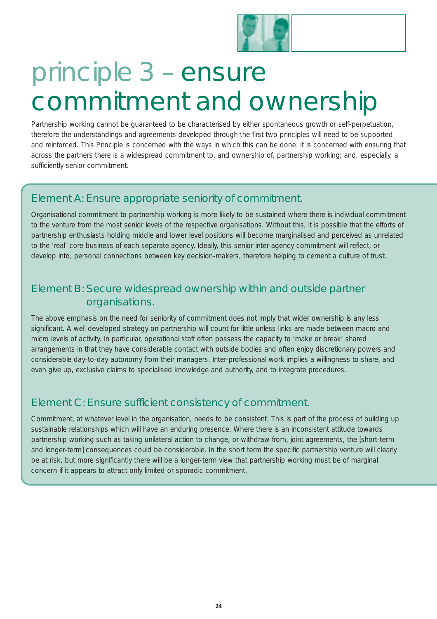

# principle 3 – ensure commitment and ownership

Partnership working cannot be guaranteed to be characterised by either spontaneous growth or self-perpetuation, therefore the understandings and agreements developed through the first two principles will need to be supported and reinforced. This Principle is concerned with the ways in which this can be done. It is concerned with ensuring that across the partners there is a widespread commitment to, and ownership of, partnership working; and, especially, a sufficiently senior commitment.

### Element A: Ensure appropriate seniority of commitment.

Organisational commitment to partnership working is more likely to be sustained where there is individual commitment to the venture from the most senior levels of the respective organisations. Without this, it is possible that the efforts of partnership enthusiasts holding middle and lower level positions will become marginalised and perceived as unrelated to the 'real' core business of each separate agency. Ideally, this senior inter-agency commitment will reflect, or develop into, personal connections between key decision-makers, therefore helping to cement a culture of trust.

### Element B: Secure widespread ownership within and outside partner organisations.

The above emphasis on the need for seniority of commitment does not imply that wider ownership is any less significant. A well developed strategy on partnership will count for little unless links are made between macro and micro levels of activity. In particular, operational staff often possess the capacity to 'make or break' shared arrangements in that they have considerable contact with outside bodies and often enjoy discretionary powers and considerable day-to-day autonomy from their managers. Inter-professional work implies a willingness to share, and even give up, exclusive claims to specialised knowledge and authority, and to integrate procedures.

### Element C: Ensure sufficient consistency of commitment.

Commitment, at whatever level in the organisation, needs to be consistent. This is part of the process of building up sustainable relationships which will have an enduring presence. Where there is an inconsistent attitude towards partnership working such as taking unilateral action to change, or withdraw from, joint agreements, the [short-term and longer-term] consequences could be considerable. In the short term the specific partnership venture will clearly be at risk, but more significantly there will be a longer-term view that partnership working must be of marginal concern if it appears to attract only limited or sporadic commitment.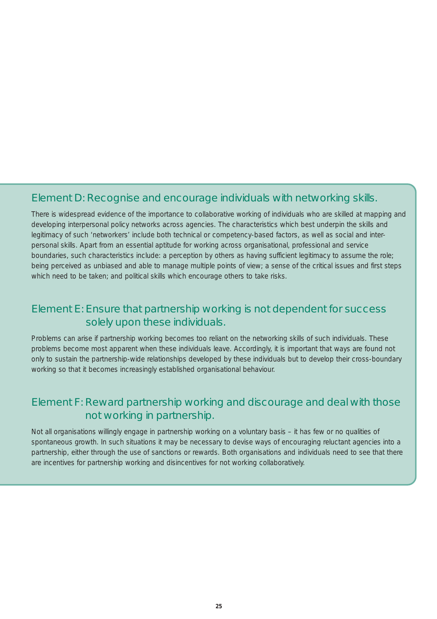#### Element D: Recognise and encourage individuals with networking skills.

There is widespread evidence of the importance to collaborative working of individuals who are skilled at mapping and developing interpersonal policy networks across agencies. The characteristics which best underpin the skills and legitimacy of such 'networkers' include both technical or competency-based factors, as well as social and interpersonal skills. Apart from an essential aptitude for working across organisational, professional and service boundaries, such characteristics include: a perception by others as having sufficient legitimacy to assume the role; being perceived as unbiased and able to manage multiple points of view; a sense of the critical issues and first steps which need to be taken; and political skills which encourage others to take risks.

#### Element E: Ensure that partnership working is not dependent for success solely upon these individuals.

Problems can arise if partnership working becomes too reliant on the networking skills of such individuals. These problems become most apparent when these individuals leave. Accordingly, it is important that ways are found not only to sustain the partnership-wide relationships developed by these individuals but to develop their cross-boundary working so that it becomes increasingly established organisational behaviour.

### Element F: Reward partnership working and discourage and deal with those not working in partnership.

Not all organisations willingly engage in partnership working on a voluntary basis – it has few or no qualities of spontaneous growth. In such situations it may be necessary to devise ways of encouraging reluctant agencies into a partnership, either through the use of sanctions or rewards. Both organisations and individuals need to see that there are incentives for partnership working and disincentives for not working collaboratively.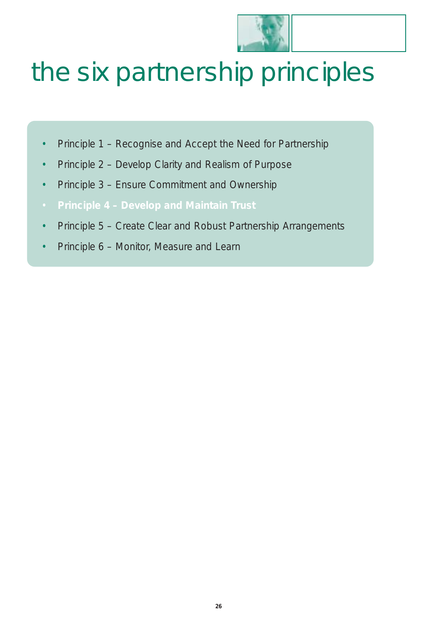

# the six partnership principles

- Principle 1 Recognise and Accept the Need for Partnership
- Principle 2 Develop Clarity and Realism of Purpose
- Principle 3 Ensure Commitment and Ownership
- **Principle 4 Develop and Maintain Trust**
- Principle 5 Create Clear and Robust Partnership Arrangements
- Principle 6 Monitor, Measure and Learn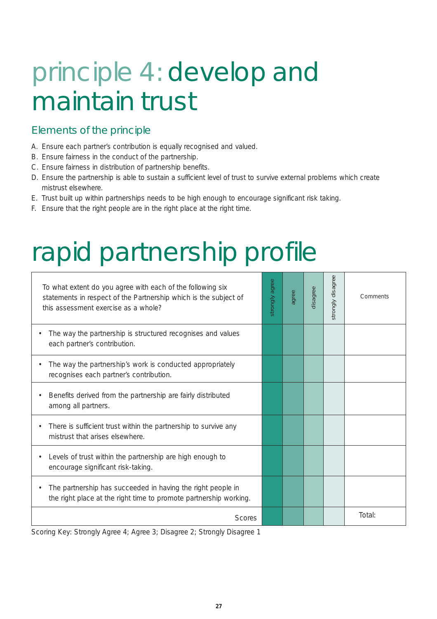# principle 4: develop and maintain trust

### Elements of the principle

- A. Ensure each partner's contribution is equally recognised and valued.
- B. Ensure fairness in the conduct of the partnership.
- C. Ensure fairness in distribution of partnership benefits.
- D. Ensure the partnership is able to sustain a sufficient level of trust to survive external problems which create mistrust elsewhere.
- E. Trust built up within partnerships needs to be high enough to encourage significant risk taking.
- F. Ensure that the right people are in the right place at the right time.

# rapid partnership profile

| To what extent do you agree with each of the following six<br>statements in respect of the Partnership which is the subject of<br>this assessment exercise as a whole? | strongly agree | agree | disagree | strongly disagree | Comments |
|------------------------------------------------------------------------------------------------------------------------------------------------------------------------|----------------|-------|----------|-------------------|----------|
| The way the partnership is structured recognises and values<br>٠<br>each partner's contribution.                                                                       |                |       |          |                   |          |
| The way the partnership's work is conducted appropriately<br>٠<br>recognises each partner's contribution.                                                              |                |       |          |                   |          |
| Benefits derived from the partnership are fairly distributed<br>٠<br>among all partners.                                                                               |                |       |          |                   |          |
| There is sufficient trust within the partnership to survive any<br>$\bullet$<br>mistrust that arises elsewhere.                                                        |                |       |          |                   |          |
| Levels of trust within the partnership are high enough to<br>$\bullet$<br>encourage significant risk-taking.                                                           |                |       |          |                   |          |
| The partnership has succeeded in having the right people in<br>the right place at the right time to promote partnership working.                                       |                |       |          |                   |          |
| <b>Scores</b>                                                                                                                                                          |                |       |          |                   | Total:   |

Scoring Key: Strongly Agree 4; Agree 3; Disagree 2; Strongly Disagree 1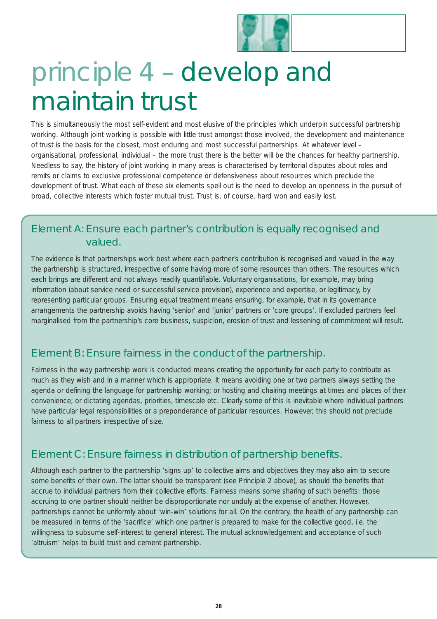

# principle 4 – develop and maintain trust

This is simultaneously the most self-evident and most elusive of the principles which underpin successful partnership working. Although joint working is possible with little trust amongst those involved, the development and maintenance of trust is the basis for the closest, most enduring and most successful partnerships. At whatever level – organisational, professional, individual – the more trust there is the better will be the chances for healthy partnership. Needless to say, the history of joint working in many areas is characterised by territorial disputes about roles and remits or claims to exclusive professional competence or defensiveness about resources which preclude the development of trust. What each of these six elements spell out is the need to develop an openness in the pursuit of broad, collective interests which foster mutual trust. Trust is, of course, hard won and easily lost.

#### Element A: Ensure each partner's contribution is equally recognised and valued.

The evidence is that partnerships work best where each partner's contribution is recognised and valued in the way the partnership is structured, irrespective of some having more of some resources than others. The resources which each brings are different and not always readily quantifiable. Voluntary organisations, for example, may bring information (about service need or successful service provision), experience and expertise, or legitimacy, by representing particular groups. Ensuring equal treatment means ensuring, for example, that in its governance arrangements the partnership avoids having 'senior' and 'junior' partners or 'core groups'. If excluded partners feel marginalised from the partnership's core business, suspicion, erosion of trust and lessening of commitment will result.

### Element B: Ensure fairness in the conduct of the partnership.

Fairness in the way partnership work is conducted means creating the opportunity for each party to contribute as much as they wish and in a manner which is appropriate. It means avoiding one or two partners always setting the agenda or defining the language for partnership working; or hosting and chairing meetings at times and places of their convenience; or dictating agendas, priorities, timescale etc. Clearly some of this is inevitable where individual partners have particular legal responsibilities or a preponderance of particular resources. However, this should not preclude fairness to all partners irrespective of size.

### Element C: Ensure fairness in distribution of partnership benefits.

Although each partner to the partnership 'signs up' to collective aims and objectives they may also aim to secure some benefits of their own. The latter should be transparent (see Principle 2 above), as should the benefits that accrue to individual partners from their collective efforts. Fairness means some sharing of such benefits: those accruing to one partner should neither be disproportionate nor unduly at the expense of another. However, partnerships cannot be uniformly about 'win-win' solutions for all. On the contrary, the health of any partnership can be measured in terms of the 'sacrifice' which one partner is prepared to make for the collective good, i.e. the willingness to subsume self-interest to general interest. The mutual acknowledgement and acceptance of such 'altruism' helps to build trust and cement partnership.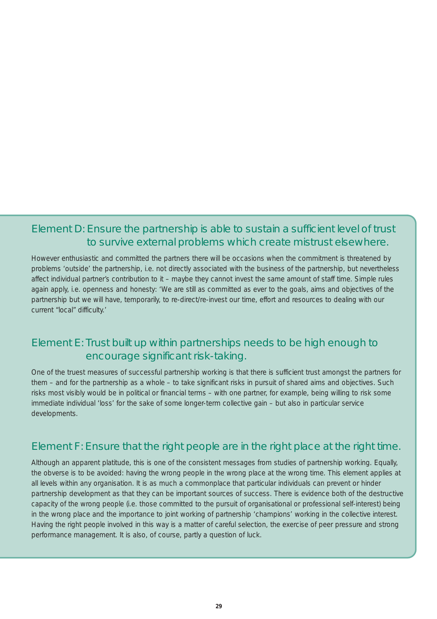### Element D: Ensure the partnership is able to sustain a sufficient level of trust to survive external problems which create mistrust elsewhere.

However enthusiastic and committed the partners there will be occasions when the commitment is threatened by problems 'outside' the partnership, i.e. not directly associated with the business of the partnership, but nevertheless affect individual partner's contribution to it – maybe they cannot invest the same amount of staff time. Simple rules again apply, i.e. openness and honesty: 'We are still as committed as ever to the goals, aims and objectives of the partnership but we will have, temporarily, to re-direct/re-invest our time, effort and resources to dealing with our current "local" difficulty.'

### Element E: Trust built up within partnerships needs to be high enough to encourage significant risk-taking.

One of the truest measures of successful partnership working is that there is sufficient trust amongst the partners for them – and for the partnership as a whole – to take significant risks in pursuit of shared aims and objectives. Such risks most visibly would be in political or financial terms – with one partner, for example, being willing to risk some immediate individual 'loss' for the sake of some longer-term collective gain – but also in particular service developments.

#### Element F: Ensure that the right people are in the right place at the right time.

Although an apparent platitude, this is one of the consistent messages from studies of partnership working. Equally, the obverse is to be avoided: having the wrong people in the wrong place at the wrong time. This element applies at all levels within any organisation. It is as much a commonplace that particular individuals can prevent or hinder partnership development as that they can be important sources of success. There is evidence both of the destructive capacity of the wrong people (i.e. those committed to the pursuit of organisational or professional self-interest) being in the wrong place and the importance to joint working of partnership 'champions' working in the collective interest. Having the right people involved in this way is a matter of careful selection, the exercise of peer pressure and strong performance management. It is also, of course, partly a question of luck.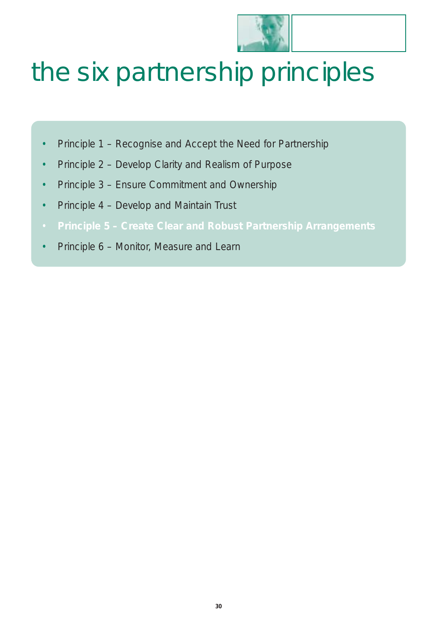

# the six partnership principles

- Principle 1 Recognise and Accept the Need for Partnership
- Principle 2 Develop Clarity and Realism of Purpose
- Principle 3 Ensure Commitment and Ownership
- Principle 4 Develop and Maintain Trust
- **Principle 5 Create Clear and Robust Partnership Arrangements**
- Principle 6 Monitor, Measure and Learn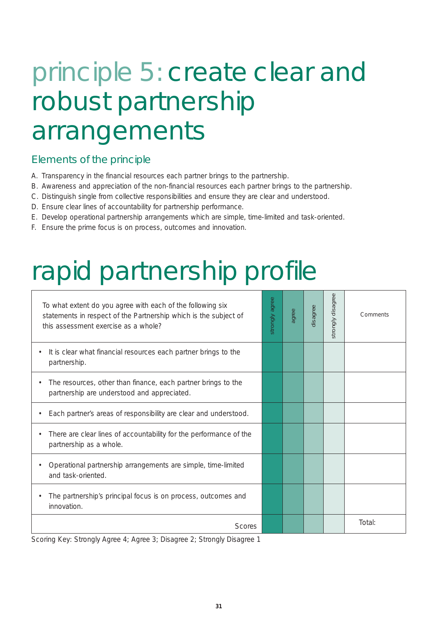### principle 5: create clear and robust partnership arrangements

#### Elements of the principle

- A. Transparency in the financial resources each partner brings to the partnership.
- B. Awareness and appreciation of the non-financial resources each partner brings to the partnership.
- C. Distinguish single from collective responsibilities and ensure they are clear and understood.
- D. Ensure clear lines of accountability for partnership performance.
- E. Develop operational partnership arrangements which are simple, time-limited and task-oriented.
- F. Ensure the prime focus is on process, outcomes and innovation.

### rapid partnership profile

| To what extent do you agree with each of the following six<br>statements in respect of the Partnership which is the subject of<br>this assessment exercise as a whole? | strongly agree | agree | disagree | strongly disagree | Comments |
|------------------------------------------------------------------------------------------------------------------------------------------------------------------------|----------------|-------|----------|-------------------|----------|
| It is clear what financial resources each partner brings to the<br>$\bullet$<br>partnership.                                                                           |                |       |          |                   |          |
| The resources, other than finance, each partner brings to the<br>$\bullet$<br>partnership are understood and appreciated.                                              |                |       |          |                   |          |
| Each partner's areas of responsibility are clear and understood.                                                                                                       |                |       |          |                   |          |
| There are clear lines of accountability for the performance of the<br>$\bullet$<br>partnership as a whole.                                                             |                |       |          |                   |          |
| Operational partnership arrangements are simple, time-limited<br>and task-oriented.                                                                                    |                |       |          |                   |          |
| The partnership's principal focus is on process, outcomes and<br>innovation.                                                                                           |                |       |          |                   |          |
| <b>Scores</b>                                                                                                                                                          |                |       |          |                   | Total:   |

Scoring Key: Strongly Agree 4; Agree 3; Disagree 2; Strongly Disagree 1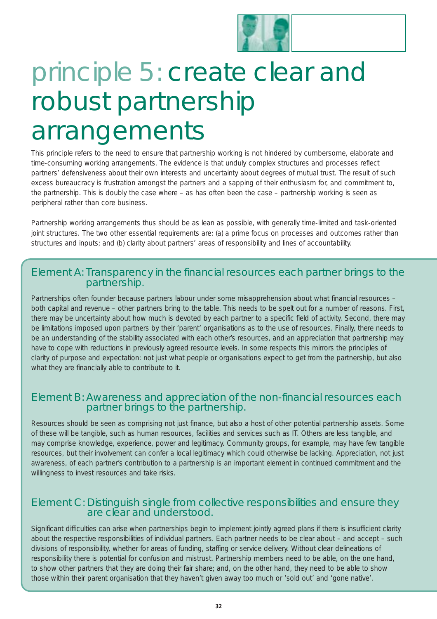

### principle 5: create clear and robust partnership arrangements

This principle refers to the need to ensure that partnership working is not hindered by cumbersome, elaborate and time-consuming working arrangements. The evidence is that unduly complex structures and processes reflect partners' defensiveness about their own interests and uncertainty about degrees of mutual trust. The result of such excess bureaucracy is frustration amongst the partners and a sapping of their enthusiasm for, and commitment to, the partnership. This is doubly the case where – as has often been the case – partnership working is seen as peripheral rather than core business.

Partnership working arrangements thus should be as lean as possible, with generally time-limited and task-oriented joint structures. The two other essential requirements are: (a) a prime focus on processes and outcomes rather than structures and inputs; and (b) clarity about partners' areas of responsibility and lines of accountability.

#### Element A: Transparency in the financial resources each partner brings to the partnership.

Partnerships often founder because partners labour under some misapprehension about what financial resources – both capital and revenue – other partners bring to the table. This needs to be spelt out for a number of reasons. First, there may be uncertainty about how much is devoted by each partner to a specific field of activity. Second, there may be limitations imposed upon partners by their 'parent' organisations as to the use of resources. Finally, there needs to be an understanding of the stability associated with each other's resources, and an appreciation that partnership may have to cope with reductions in previously agreed resource levels. In some respects this mirrors the principles of clarity of purpose and expectation: not just what people or organisations expect to get from the partnership, but also what they are financially able to contribute to it.

#### Element B: Awareness and appreciation of the non-financial resources each partner brings to the partnership.

Resources should be seen as comprising not just finance, but also a host of other potential partnership assets. Some of these will be tangible, such as human resources, facilities and services such as IT. Others are less tangible, and may comprise knowledge, experience, power and legitimacy. Community groups, for example, may have few tangible resources, but their involvement can confer a local legitimacy which could otherwise be lacking. Appreciation, not just awareness, of each partner's contribution to a partnership is an important element in continued commitment and the willingness to invest resources and take risks.

#### Element C: Distinguish single from collective responsibilities and ensure they are clear and understood.

Significant difficulties can arise when partnerships begin to implement jointly agreed plans if there is insufficient clarity about the respective responsibilities of individual partners. Each partner needs to be clear about – and accept – such divisions of responsibility, whether for areas of funding, staffing or service delivery. Without clear delineations of responsibility there is potential for confusion and mistrust. Partnership members need to be able, on the one hand, to show other partners that they are doing their fair share; and, on the other hand, they need to be able to show those within their parent organisation that they haven't given away too much or 'sold out' and 'gone native'.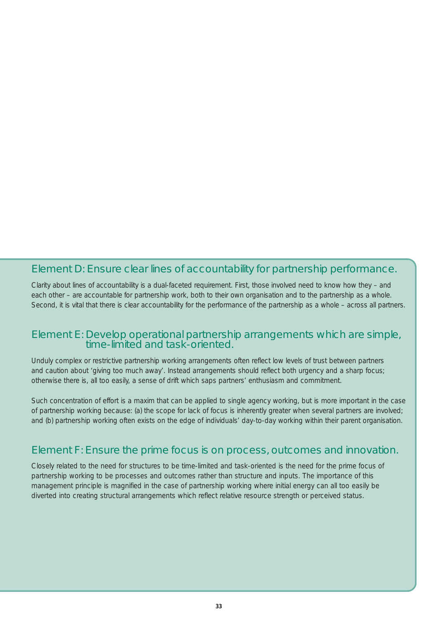#### Element D: Ensure clear lines of accountability for partnership performance.

Clarity about lines of accountability is a dual-faceted requirement. First, those involved need to know how they – and each other – are accountable for partnership work, both to their own organisation and to the partnership as a whole. Second, it is vital that there is clear accountability for the performance of the partnership as a whole – across all partners.

#### Element E: Develop operational partnership arrangements which are simple, time-limited and task-oriented.

Unduly complex or restrictive partnership working arrangements often reflect low levels of trust between partners and caution about 'giving too much away'. Instead arrangements should reflect both urgency and a sharp focus; otherwise there is, all too easily, a sense of drift which saps partners' enthusiasm and commitment.

Such concentration of effort is a maxim that can be applied to single agency working, but is more important in the case of partnership working because: (a) the scope for lack of focus is inherently greater when several partners are involved; and (b) partnership working often exists on the edge of individuals' day-to-day working within their parent organisation.

#### Element F: Ensure the prime focus is on process, outcomes and innovation.

Closely related to the need for structures to be time-limited and task-oriented is the need for the prime focus of partnership working to be processes and outcomes rather than structure and inputs. The importance of this management principle is magnified in the case of partnership working where initial energy can all too easily be diverted into creating structural arrangements which reflect relative resource strength or perceived status.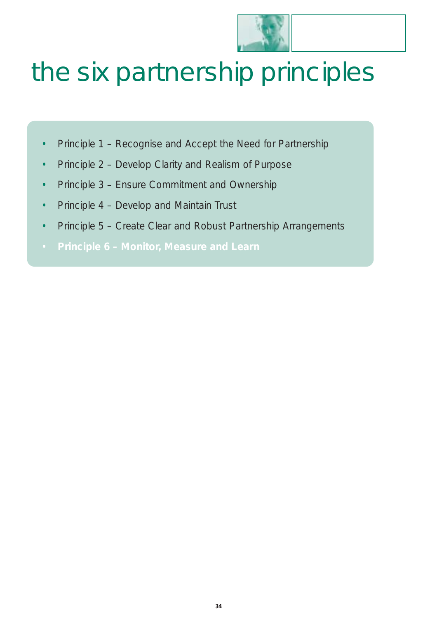

# the six partnership principles

- Principle 1 Recognise and Accept the Need for Partnership
- Principle 2 Develop Clarity and Realism of Purpose
- Principle 3 Ensure Commitment and Ownership
- Principle 4 Develop and Maintain Trust
- Principle 5 Create Clear and Robust Partnership Arrangements
- **Principle 6 Monitor, Measure and Learn**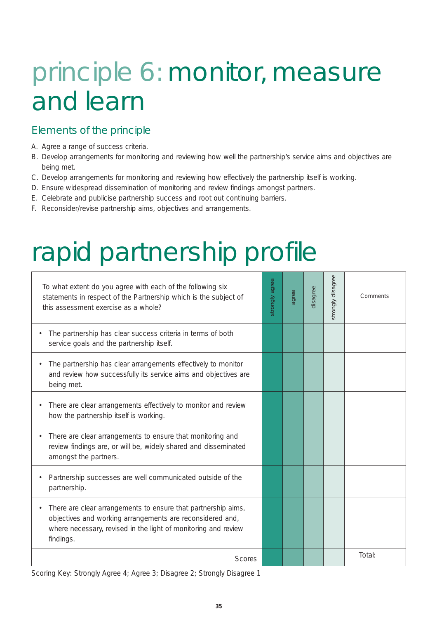# principle 6: monitor, measure and learn

### Elements of the principle

- A. Agree a range of success criteria.
- B. Develop arrangements for monitoring and reviewing how well the partnership's service aims and objectives are being met.
- C. Develop arrangements for monitoring and reviewing how effectively the partnership itself is working.
- D. Ensure widespread dissemination of monitoring and review findings amongst partners.
- E. Celebrate and publicise partnership success and root out continuing barriers.
- F. Reconsider/revise partnership aims, objectives and arrangements.

# rapid partnership profile

| To what extent do you agree with each of the following six<br>statements in respect of the Partnership which is the subject of<br>this assessment exercise as a whole?                                    | strongly agree | agree | disagree | strongly disagree | Comments |
|-----------------------------------------------------------------------------------------------------------------------------------------------------------------------------------------------------------|----------------|-------|----------|-------------------|----------|
| The partnership has clear success criteria in terms of both<br>service goals and the partnership itself.                                                                                                  |                |       |          |                   |          |
| The partnership has clear arrangements effectively to monitor<br>and review how successfully its service aims and objectives are<br>being met.                                                            |                |       |          |                   |          |
| There are clear arrangements effectively to monitor and review<br>how the partnership itself is working.                                                                                                  |                |       |          |                   |          |
| There are clear arrangements to ensure that monitoring and<br>review findings are, or will be, widely shared and disseminated<br>amongst the partners.                                                    |                |       |          |                   |          |
| Partnership successes are well communicated outside of the<br>partnership.                                                                                                                                |                |       |          |                   |          |
| There are clear arrangements to ensure that partnership aims,<br>objectives and working arrangements are reconsidered and,<br>where necessary, revised in the light of monitoring and review<br>findings. |                |       |          |                   |          |
| <b>Scores</b>                                                                                                                                                                                             |                |       |          |                   | Total:   |

Scoring Key: Strongly Agree 4; Agree 3; Disagree 2; Strongly Disagree 1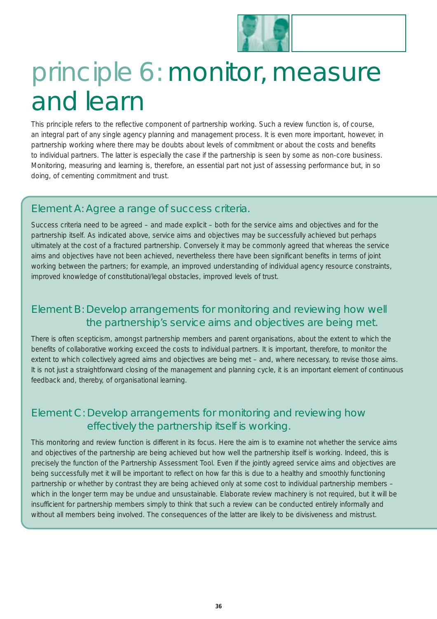

### principle 6: monitor, measure and learn

This principle refers to the reflective component of partnership working. Such a review function is, of course, an integral part of any single agency planning and management process. It is even more important, however, in partnership working where there may be doubts about levels of commitment or about the costs and benefits to individual partners. The latter is especially the case if the partnership is seen by some as non-core business. Monitoring, measuring and learning is, therefore, an essential part not just of assessing performance but, in so doing, of cementing commitment and trust.

### Element A: Agree a range of success criteria.

Success criteria need to be agreed – and made explicit – both for the service aims and objectives and for the partnership itself. As indicated above, service aims and objectives may be successfully achieved but perhaps ultimately at the cost of a fractured partnership. Conversely it may be commonly agreed that whereas the service aims and objectives have not been achieved, nevertheless there have been significant benefits in terms of joint working between the partners; for example, an improved understanding of individual agency resource constraints, improved knowledge of constitutional/legal obstacles, improved levels of trust.

### Element B: Develop arrangements for monitoring and reviewing how well the partnership's service aims and objectives are being met.

There is often scepticism, amongst partnership members and parent organisations, about the extent to which the benefits of collaborative working exceed the costs to individual partners. It is important, therefore, to monitor the extent to which collectively agreed aims and objectives are being met – and, where necessary, to revise those aims. It is not just a straightforward closing of the management and planning cycle, it is an important element of continuous feedback and, thereby, of organisational learning.

### Element C: Develop arrangements for monitoring and reviewing how effectively the partnership itself is working.

This monitoring and review function is different in its focus. Here the aim is to examine not whether the service aims and objectives of the partnership are being achieved but how well the partnership itself is working. Indeed, this is precisely the function of the Partnership Assessment Tool. Even if the jointly agreed service aims and objectives are being successfully met it will be important to reflect on how far this is due to a healthy and smoothly functioning partnership or whether by contrast they are being achieved only at some cost to individual partnership members – which in the longer term may be undue and unsustainable. Elaborate review machinery is not required, but it will be insufficient for partnership members simply to think that such a review can be conducted entirely informally and without all members being involved. The consequences of the latter are likely to be divisiveness and mistrust.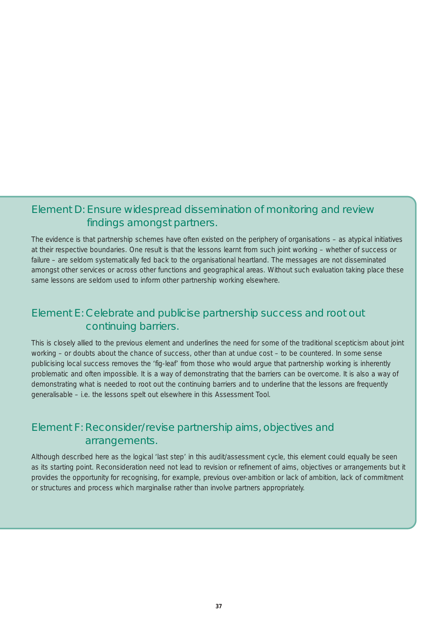### Element D: Ensure widespread dissemination of monitoring and review findings amongst partners.

The evidence is that partnership schemes have often existed on the periphery of organisations – as atypical initiatives at their respective boundaries. One result is that the lessons learnt from such joint working – whether of success or failure – are seldom systematically fed back to the organisational heartland. The messages are not disseminated amongst other services or across other functions and geographical areas. Without such evaluation taking place these same lessons are seldom used to inform other partnership working elsewhere.

### Element E: Celebrate and publicise partnership success and root out continuing barriers.

This is closely allied to the previous element and underlines the need for some of the traditional scepticism about joint working – or doubts about the chance of success, other than at undue cost – to be countered. In some sense publicising local success removes the 'fig-leaf' from those who would argue that partnership working is inherently problematic and often impossible. It is a way of demonstrating that the barriers can be overcome. It is also a way of demonstrating what is needed to root out the continuing barriers and to underline that the lessons are frequently generalisable – i.e. the lessons spelt out elsewhere in this Assessment Tool.

### Element F: Reconsider/revise partnership aims, objectives and arrangements.

Although described here as the logical 'last step' in this audit/assessment cycle, this element could equally be seen as its starting point. Reconsideration need not lead to revision or refinement of aims, objectives or arrangements but it provides the opportunity for recognising, for example, previous over-ambition or lack of ambition, lack of commitment or structures and process which marginalise rather than involve partners appropriately.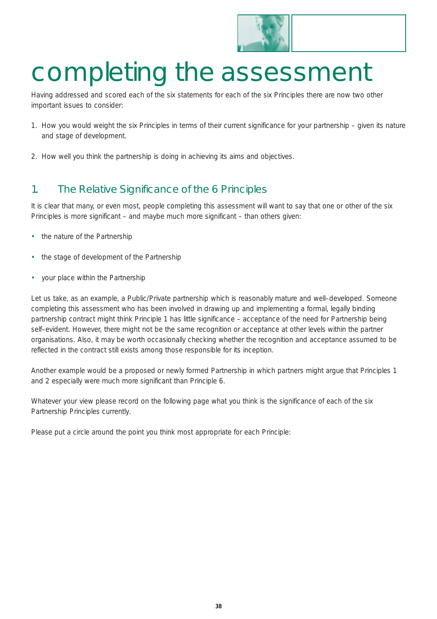

### completing the assessment

Having addressed and scored each of the six statements for each of the six Principles there are now two other important issues to consider:

- 1. How you would weight the six Principles in terms of their current significance for your partnership given its nature and stage of development.
- 2. How well you think the partnership is doing in achieving its aims and objectives.

### 1. The Relative Significance of the 6 Principles

It is clear that many, or even most, people completing this assessment will want to say that one or other of the six Principles is more significant – and maybe much more significant – than others given:

- the nature of the Partnership
- the stage of development of the Partnership
- your place within the Partnership

Let us take, as an example, a Public/Private partnership which is reasonably mature and well–developed. Someone completing this assessment who has been involved in drawing up and implementing a formal, legally binding partnership contract might think Principle 1 has little significance – acceptance of the need for Partnership being self–evident. However, there might not be the same recognition or acceptance at other levels within the partner organisations. Also, it may be worth occasionally checking whether the recognition and acceptance assumed to be reflected in the contract still exists among those responsible for its inception.

Another example would be a proposed or newly formed Partnership in which partners might argue that Principles 1 and 2 especially were much more significant than Principle 6.

Whatever your view please record on the following page what you think is the significance of each of the six Partnership Principles *currently*.

Please put a circle around the point you think most appropriate for each Principle: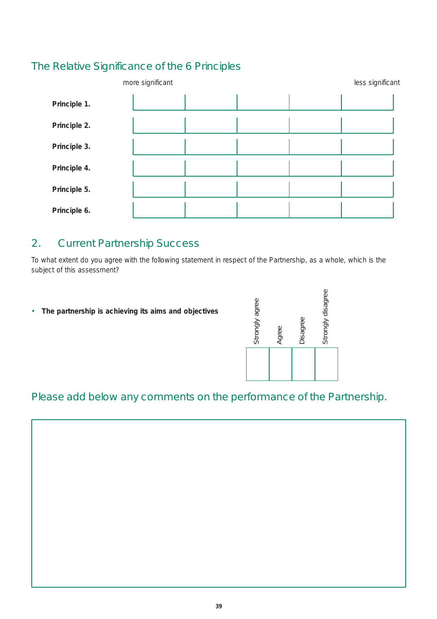### The Relative Significance of the 6 Principles

| more significant |  |  | less significant |  |  |
|------------------|--|--|------------------|--|--|
| Principle 1.     |  |  |                  |  |  |
| Principle 2.     |  |  |                  |  |  |
| Principle 3.     |  |  |                  |  |  |
| Principle 4.     |  |  |                  |  |  |
| Principle 5.     |  |  |                  |  |  |
| Principle 6.     |  |  |                  |  |  |

### 2. Current Partnership Success

To what extent do you agree with the following statement in respect of the Partnership, as a whole, which is the subject of this assessment?

• **The partnership is achieving its aims and objectives**

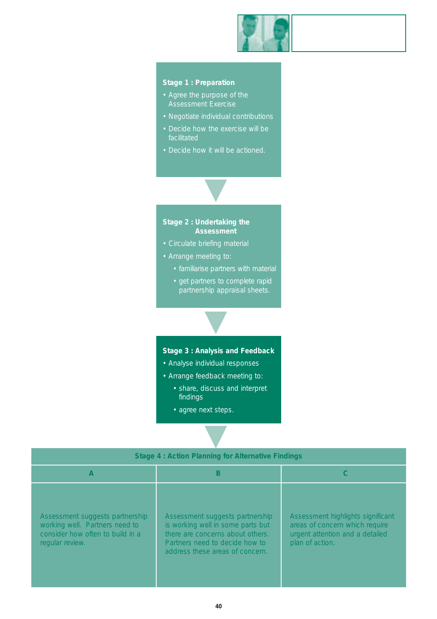

#### **Stage 1 : Preparation**

- Agree the purpose of the
- Negotiate individual contributions
- Decide how the exercise will be facilitated
- Decide how it will be actioned.



- 
- Arrange meeting to:
	- familiarise partners with material
	- get partners to complete rapid partnership appraisal sheets.

#### **Stage 3 : Analysis and Feedback**

▼

- Analyse individual responses
- Arrange feedback meeting to:
	- share, discuss and interpret findings
	- agree next steps.

| <b>Stage 4: Action Planning for Alternative Findings</b>                                                                 |                                                                                                                                                                               |                                                                                                                           |  |  |  |  |
|--------------------------------------------------------------------------------------------------------------------------|-------------------------------------------------------------------------------------------------------------------------------------------------------------------------------|---------------------------------------------------------------------------------------------------------------------------|--|--|--|--|
| A                                                                                                                        | В                                                                                                                                                                             |                                                                                                                           |  |  |  |  |
| Assessment suggests partnership<br>working well. Partners need to<br>consider how often to build in a<br>regular review. | Assessment suggests partnership<br>is working well in some parts but<br>there are concerns about others.<br>Partners need to decide how to<br>address these areas of concern. | Assessment highlights significant<br>areas of concern which require<br>urgent attention and a detailed<br>plan of action. |  |  |  |  |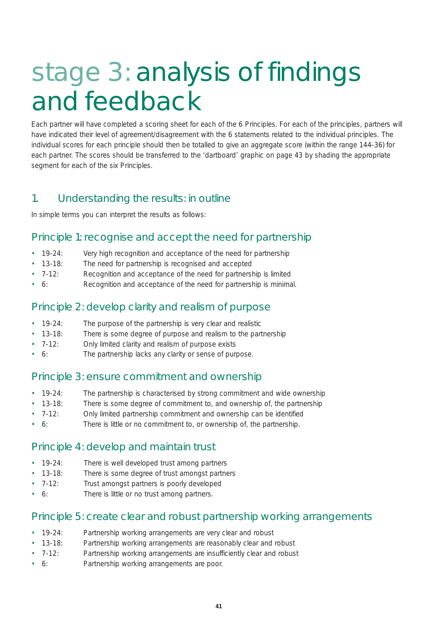### stage 3: analysis of findings and feedback

Each partner will have completed a scoring sheet for each of the 6 Principles. For each of the principles, partners will have indicated their level of agreement/disagreement with the 6 statements related to the individual principles. The individual scores for each principle should then be totalled to give an aggregate score (within the range 144-36) for each partner. The scores should be transferred to the 'dartboard' graphic on page 43 by shading the appropriate segment for each of the six Principles.

### 1. Understanding the results: in outline

In simple terms you can interpret the results as follows:

### Principle 1: recognise and accept the need for partnership

- 19-24: Very high recognition and acceptance of the need for partnership
- 13-18: The need for partnership is recognised and accepted
- 7-12: Recognition and acceptance of the need for partnership is limited
- 6: Recognition and acceptance of the need for partnership is minimal.

#### Principle 2: develop clarity and realism of purpose

- 19-24: The purpose of the partnership is very clear and realistic
- 13-18: There is some degree of purpose and realism to the partnership
- 7-12: Only limited clarity and realism of purpose exists
- 6: The partnership lacks any clarity or sense of purpose.

#### Principle 3: ensure commitment and ownership

- 19-24: The partnership is characterised by strong commitment and wide ownership
- 13-18: There is some degree of commitment to, and ownership of, the partnership
- 7-12: Only limited partnership commitment and ownership can be identified
- 6: There is little or no commitment to, or ownership of, the partnership.

#### Principle 4: develop and maintain trust

- 19-24: There is well developed trust among partners
- 13-18: There is some degree of trust amongst partners
- 7-12: Trust amongst partners is poorly developed
- 6: There is little or no trust among partners.

#### Principle 5: create clear and robust partnership working arrangements

- 19-24: Partnership working arrangements are very clear and robust
- 13-18: Partnership working arrangements are reasonably clear and robust
- 7-12: Partnership working arrangements are insufficiently clear and robust
- 6: Partnership working arrangements are poor.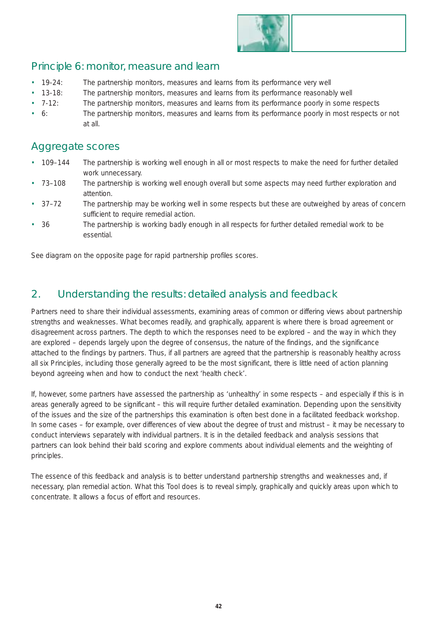

#### Principle 6: monitor, measure and learn

- 19-24: The partnership monitors, measures and learns from its performance very well
- 13-18: The partnership monitors, measures and learns from its performance reasonably well
- 7-12: The partnership monitors, measures and learns from its performance poorly in some respects
- 6: The partnership monitors, measures and learns from its performance poorly in most respects or not at all.

#### Aggregate scores

- 109–144 The partnership is working well enough in all or most respects to make the need for further detailed work unnecessary.
- 73–108 The partnership is working well enough overall but some aspects may need further exploration and attention.
- 37–72 The partnership may be working well in some respects but these are outweighed by areas of concern sufficient to require remedial action.
- 36 The partnership is working badly enough in all respects for further detailed remedial work to be essential.

See diagram on the opposite page for rapid partnership profiles scores.

### 2. Understanding the results: detailed analysis and feedback

Partners need to share their individual assessments, examining areas of common or differing views about partnership strengths and weaknesses. What becomes readily, and graphically, apparent is where there is broad agreement or disagreement across partners. The depth to which the responses need to be explored – and the way in which they are explored – depends largely upon the degree of consensus, the nature of the findings, and the significance attached to the findings by partners. Thus, if all partners are agreed that the partnership is reasonably healthy across all six Principles, including those generally agreed to be the most significant, there is little need of action planning beyond agreeing when and how to conduct the next 'health check'.

If, however, some partners have assessed the partnership as 'unhealthy' in some respects – and especially if this is in areas generally agreed to be significant – this will require further detailed examination. Depending upon the sensitivity of the issues and the size of the partnerships this examination is often best done in a facilitated feedback workshop. In some cases – for example, over differences of view about the degree of trust and mistrust – it may be necessary to conduct interviews separately with individual partners. It is in the detailed feedback and analysis sessions that partners can look behind their bald scoring and explore comments about individual elements and the weighting of principles.

The essence of this feedback and analysis is to better understand partnership strengths and weaknesses and, if necessary, plan remedial action. What this Tool does is to reveal simply, graphically and quickly areas upon which to concentrate. It allows a focus of effort and resources.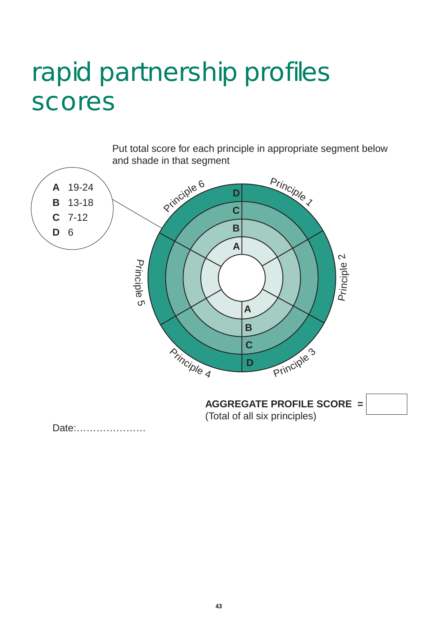### rapid partnership profiles scores

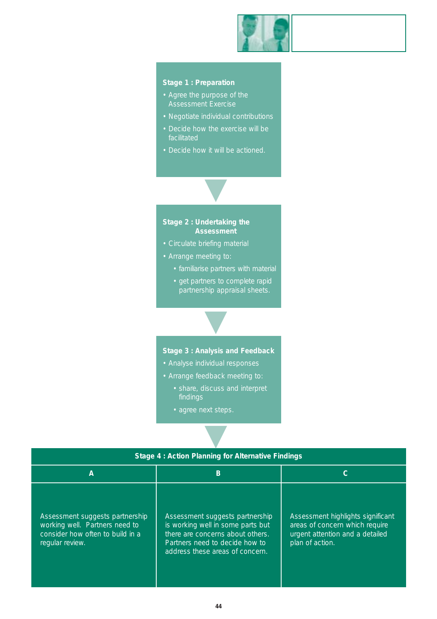

#### **Stage 1 : Preparation**

- Agree the purpose of the
- Negotiate individual contributions
- Decide how the exercise will be facilitated
- Decide how it will be actioned.



- 
- Arrange meeting to:
	- familiarise partners with material
	- get partners to complete rapid partnership appraisal sheets.

**Stage 3 : Analysis and Feedback** 

▼

- Analyse individual responses
- Arrange feedback meeting to:
	- share, discuss and interpret findings
	- agree next steps.

| Stage 4: Action Planning for Alternative Findings                                                                        |                                                                                                                                                                               |                                                                                                                           |  |  |  |  |
|--------------------------------------------------------------------------------------------------------------------------|-------------------------------------------------------------------------------------------------------------------------------------------------------------------------------|---------------------------------------------------------------------------------------------------------------------------|--|--|--|--|
| А                                                                                                                        | B                                                                                                                                                                             | С                                                                                                                         |  |  |  |  |
| Assessment suggests partnership<br>working well. Partners need to<br>consider how often to build in a<br>regular review. | Assessment suggests partnership<br>is working well in some parts but<br>there are concerns about others.<br>Partners need to decide how to<br>address these areas of concern. | Assessment highlights significant<br>areas of concern which require<br>urgent attention and a detailed<br>plan of action. |  |  |  |  |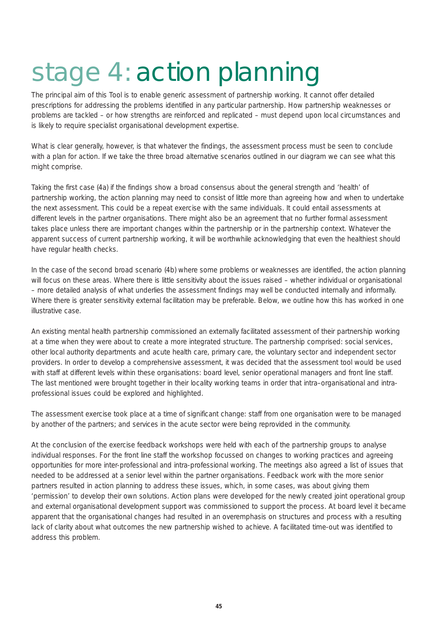# stage 4: action planning

The principal aim of this Tool is to enable generic assessment of partnership working. It cannot offer detailed prescriptions for addressing the problems identified in any particular partnership. How partnership weaknesses or problems are tackled – or how strengths are reinforced and replicated – must depend upon local circumstances and is likely to require specialist organisational development expertise.

What is clear generally, however, is that whatever the findings, the assessment process must be seen to conclude with a plan for action. If we take the three broad alternative scenarios outlined in our diagram we can see what this might comprise.

Taking the first case (4a) if the findings show a broad consensus about the general strength and 'health' of partnership working, the action planning may need to consist of little more than agreeing how and when to undertake the next assessment. This could be a repeat exercise with the same individuals. It could entail assessments at different levels in the partner organisations. There might also be an agreement that no further formal assessment takes place unless there are important changes within the partnership or in the partnership context. Whatever the apparent success of current partnership working, it will be worthwhile acknowledging that even the healthiest should have regular health checks.

In the case of the second broad scenario (4b) where some problems or weaknesses are identified, the action planning will focus on these areas. Where there is little sensitivity about the issues raised – whether individual or organisational – more detailed analysis of what underlies the assessment findings may well be conducted internally and informally. Where there is greater sensitivity external facilitation may be preferable. Below, we outline how this has worked in one illustrative case.

An existing mental health partnership commissioned an externally facilitated assessment of their partnership working at a time when they were about to create a more integrated structure. The partnership comprised: social services, other local authority departments and acute health care, primary care, the voluntary sector and independent sector providers. In order to develop a comprehensive assessment, it was decided that the assessment tool would be used with staff at different levels within these organisations: board level, senior operational managers and front line staff. The last mentioned were brought together in their locality working teams in order that intra–organisational and intraprofessional issues could be explored and highlighted.

The assessment exercise took place at a time of significant change: staff from one organisation were to be managed by another of the partners; and services in the acute sector were being reprovided in the community.

At the conclusion of the exercise feedback workshops were held with each of the partnership groups to analyse individual responses. For the front line staff the workshop focussed on changes to working practices and agreeing opportunities for more inter-professional and intra-professional working. The meetings also agreed a list of issues that needed to be addressed at a senior level within the partner organisations. Feedback work with the more senior partners resulted in action planning to address these issues, which, in some cases, was about giving them 'permission' to develop their own solutions. Action plans were developed for the newly created joint operational group and external organisational development support was commissioned to support the process. At board level it became apparent that the organisational changes had resulted in an overemphasis on structures and process with a resulting lack of clarity about what outcomes the new partnership wished to achieve. A facilitated time-out was identified to address this problem.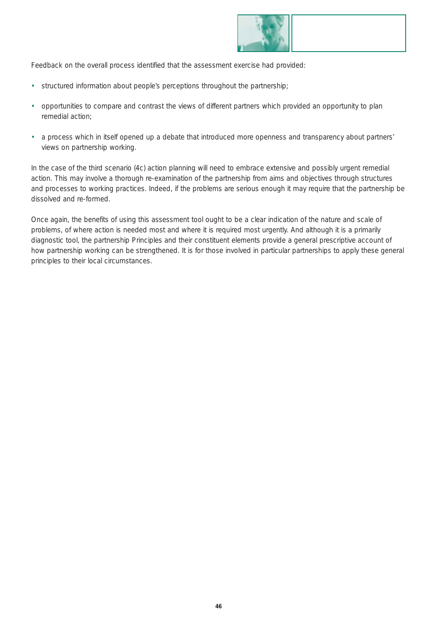

Feedback on the overall process identified that the assessment exercise had provided:

- structured information about people's perceptions throughout the partnership;
- opportunities to compare and contrast the views of different partners which provided an opportunity to plan remedial action;
- a process which in itself opened up a debate that introduced more openness and transparency about partners' views on partnership working.

In the case of the third scenario (4c) action planning will need to embrace extensive and possibly urgent remedial action. This may involve a thorough re-examination of the partnership from aims and objectives through structures and processes to working practices. Indeed, if the problems are serious enough it may require that the partnership be dissolved and re-formed.

Once again, the benefits of using this assessment tool ought to be a clear indication of the nature and scale of problems, of where action is needed most and where it is required most urgently. And although it is a primarily diagnostic tool, the partnership Principles and their constituent elements provide a general prescriptive account of how partnership working can be strengthened. It is for those involved in particular partnerships to apply these general principles to their local circumstances.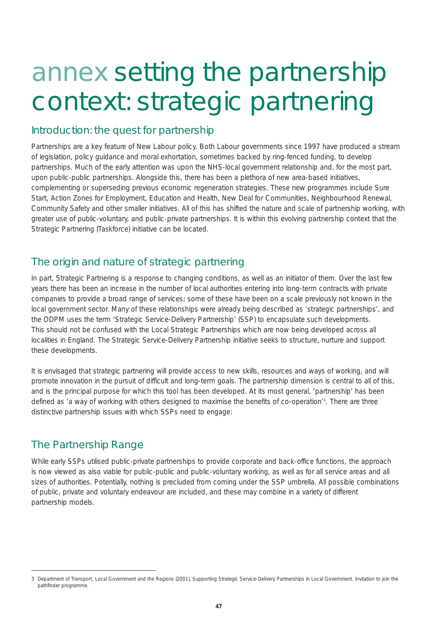### annex setting the partnership context: strategic partnering

#### Introduction: the quest for partnership

Partnerships are a key feature of New Labour policy. Both Labour governments since 1997 have produced a stream of legislation, policy guidance and moral exhortation, sometimes backed by ring-fenced funding, to develop partnerships. Much of the early attention was upon the NHS-local government relationship and, for the most part, upon public-public partnerships. Alongside this, there has been a plethora of new area-based initiatives, complementing or superseding previous economic regeneration strategies. These new programmes include Sure Start, Action Zones for Employment, Education and Health, New Deal for Communities, Neighbourhood Renewal, Community Safety and other smaller initiatives. All of this has shifted the nature and scale of partnership working, with greater use of public-voluntary, and public-private partnerships. It is within this evolving partnership context that the Strategic Partnering (Taskforce) initiative can be located.

### The origin and nature of strategic partnering

In part, Strategic Partnering is a response to changing conditions, as well as an initiator of them. Over the last few years there has been an increase in the number of local authorities entering into long-term contracts with private companies to provide a broad range of services; some of these have been on a scale previously not known in the local government sector. Many of these relationships were already being described as 'strategic partnerships', and the ODPM uses the term 'Strategic Service-Delivery Partnership' (SSP) to encapsulate such developments. This should not be confused with the Local Strategic Partnerships which are now being developed across all localities in England. The Strategic Service-Delivery Partnership initiative seeks to structure, nurture and support these developments.

It is envisaged that strategic partnering will provide access to new skills, resources and ways of working, and will promote innovation in the pursuit of difficult and long-term goals. The partnership dimension is central to all of this, and is the principal purpose for which this tool has been developed. At its most general, 'partnership' has been defined as 'a way of working with others designed to maximise the benefits of co-operation'3 . There are three distinctive partnership issues with which SSPs need to engage:

#### The Partnership Range

While early SSPs utilised public-private partnerships to provide corporate and back-office functions, the approach is now viewed as also viable for public-public and public-voluntary working, as well as for all service areas and all sizes of authorities. Potentially, nothing is precluded from coming under the SSP umbrella. All possible combinations of public, private and voluntary endeavour are included, and these may combine in a variety of different partnership models.

<sup>3</sup> Department of Transport, Local Government and the Regions (2001), *Supporting Strategic Service-Delivery Partnerships in Local Government. Invitation to join the pathfinder programme*.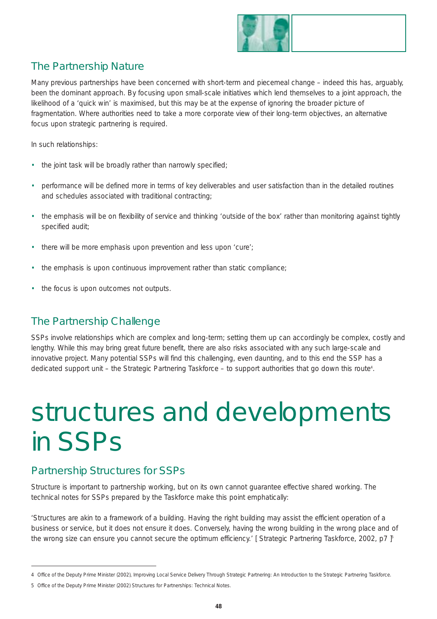

### The Partnership Nature

Many previous partnerships have been concerned with short-term and piecemeal change – indeed this has, arguably, been the dominant approach. By focusing upon small-scale initiatives which lend themselves to a joint approach, the likelihood of a 'quick win' is maximised, but this may be at the expense of ignoring the broader picture of fragmentation. Where authorities need to take a more corporate view of their long-term objectives, an alternative focus upon strategic partnering is required.

In such relationships:

- the joint task will be broadly rather than narrowly specified;
- performance will be defined more in terms of key deliverables and user satisfaction than in the detailed routines and schedules associated with traditional contracting;
- the emphasis will be on flexibility of service and thinking 'outside of the box' rather than monitoring against tightly specified audit;
- there will be more emphasis upon prevention and less upon 'cure';
- the emphasis is upon continuous improvement rather than static compliance;
- the focus is upon outcomes not outputs.

#### The Partnership Challenge

SSPs involve relationships which are complex and long-term; setting them up can accordingly be complex, costly and lengthy. While this may bring great future benefit, there are also risks associated with any such large-scale and innovative project. Many potential SSPs will find this challenging, even daunting, and to this end the SSP has a dedicated support unit – the Strategic Partnering Taskforce – to support authorities that go down this route<sup>4</sup>.

### structures and developments in SSPs

#### Partnership Structures for SSPs

Structure is important to partnership working, but on its own cannot guarantee effective shared working. The technical notes for SSPs prepared by the Taskforce make this point emphatically:

*'Structures are akin to a framework of a building. Having the right building may assist the efficient operation of a business or service, but it does not ensure it does. Conversely, having the wrong building in the wrong place and of the wrong size can ensure you cannot secure the optimum efficiency.'* [ Strategic Partnering Taskforce, 2002, p7 ]<sup>5</sup>

<sup>4</sup> Office of the Deputy Prime Minister (2002), Improving Local Service Delivery Through Strategic Partnering: An Introduction to the Strategic Partnering Taskforce.

<sup>5</sup> Office of the Deputy Prime Minister (2002) *Structures for Partnerships: Technical Notes*.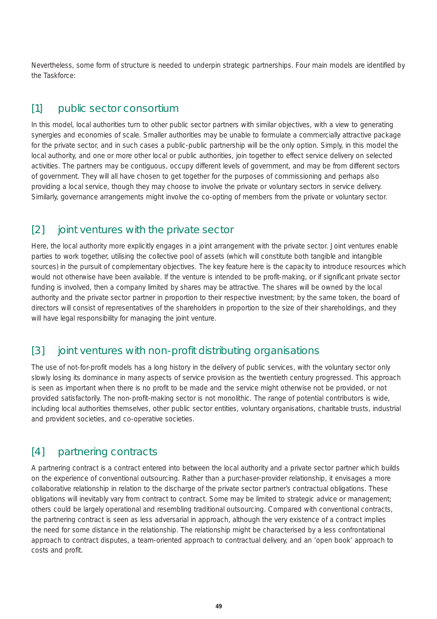Nevertheless, some form of structure is needed to underpin strategic partnerships. Four main models are identified by the Taskforce:

#### [1] public sector consortium

In this model, local authorities turn to other public sector partners with similar objectives, with a view to generating synergies and economies of scale. Smaller authorities may be unable to formulate a commercially attractive package for the private sector, and in such cases a public-public partnership will be the only option. Simply, in this model the local authority, and one or more other local or public authorities, join together to effect service delivery on selected activities. The partners may be contiguous, occupy different levels of government, and may be from different sectors of government. They will all have chosen to get together for the purposes of commissioning and perhaps also providing a local service, though they may choose to involve the private or voluntary sectors in service delivery. Similarly, governance arrangements might involve the co-opting of members from the private or voluntary sector.

### [2] joint ventures with the private sector

Here, the local authority more explicitly engages in a joint arrangement with the private sector. Joint ventures enable parties to work together, utilising the collective pool of assets (which will constitute both tangible and intangible sources) in the pursuit of complementary objectives. The key feature here is the capacity to introduce resources which would not otherwise have been available. If the venture is intended to be profit-making, or if significant private sector funding is involved, then a company limited by shares may be attractive. The shares will be owned by the local authority and the private sector partner in proportion to their respective investment; by the same token, the board of directors will consist of representatives of the shareholders in proportion to the size of their shareholdings, and they will have legal responsibility for managing the joint venture.

### [3] joint ventures with non-profit distributing organisations

The use of not-for-profit models has a long history in the delivery of public services, with the voluntary sector only slowly losing its dominance in many aspects of service provision as the twentieth century progressed. This approach is seen as important when there is no profit to be made and the service might otherwise not be provided, or not provided satisfactorily. The non-profit-making sector is not monolithic. The range of potential contributors is wide, including local authorities themselves, other public sector entities, voluntary organisations, charitable trusts, industrial and provident societies, and co-operative societies.

### [4] partnering contracts

A partnering contract is a contract entered into between the local authority and a private sector partner which builds on the experience of conventional outsourcing. Rather than a purchaser-provider relationship, it envisages a more collaborative relationship in relation to the discharge of the private sector partner's contractual obligations. These obligations will inevitably vary from contract to contract. Some may be limited to strategic advice or management; others could be largely operational and resembling traditional outsourcing. Compared with conventional contracts, the partnering contract is seen as less adversarial in approach, although the very existence of a contract implies the need for some distance in the relationship. The relationship might be characterised by a less confrontational approach to contract disputes, a team-oriented approach to contractual delivery, and an 'open book' approach to costs and profit.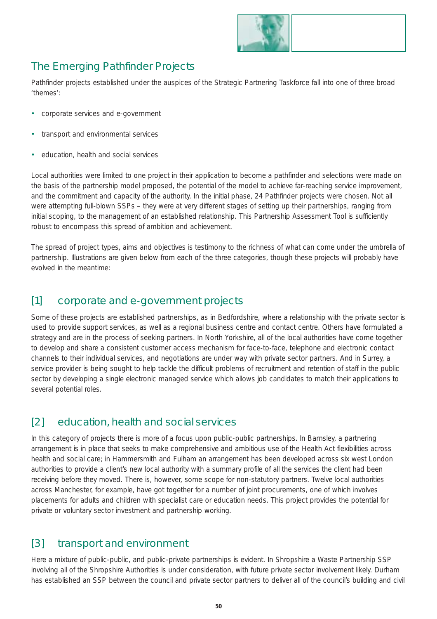

### The Emerging Pathfinder Projects

Pathfinder projects established under the auspices of the Strategic Partnering Taskforce fall into one of three broad 'themes':

- corporate services and e-government
- transport and environmental services
- education, health and social services

Local authorities were limited to one project in their application to become a pathfinder and selections were made on the basis of the partnership model proposed, the potential of the model to achieve far-reaching service improvement, and the commitment and capacity of the authority. In the initial phase, 24 Pathfinder projects were chosen. Not all were attempting full-blown SSPs – they were at very different stages of setting up their partnerships, ranging from initial scoping, to the management of an established relationship. This Partnership Assessment Tool is sufficiently robust to encompass this spread of ambition and achievement.

The spread of project types, aims and objectives is testimony to the richness of what can come under the umbrella of partnership. Illustrations are given below from each of the three categories, though these projects will probably have evolved in the meantime:

#### [1] corporate and e-government projects

Some of these projects are established partnerships, as in Bedfordshire, where a relationship with the private sector is used to provide support services, as well as a regional business centre and contact centre. Others have formulated a strategy and are in the process of seeking partners. In North Yorkshire, all of the local authorities have come together to develop and share a consistent customer access mechanism for face-to-face, telephone and electronic contact channels to their individual services, and negotiations are under way with private sector partners. And in Surrey, a service provider is being sought to help tackle the difficult problems of recruitment and retention of staff in the public sector by developing a single electronic managed service which allows job candidates to match their applications to several potential roles.

### [2] education, health and social services

In this category of projects there is more of a focus upon public-public partnerships. In Barnsley, a partnering arrangement is in place that seeks to make comprehensive and ambitious use of the Health Act flexibilities across health and social care; in Hammersmith and Fulham an arrangement has been developed across six west London authorities to provide a client's new local authority with a summary profile of all the services the client had been receiving before they moved. There is, however, some scope for non-statutory partners. Twelve local authorities across Manchester, for example, have got together for a number of joint procurements, one of which involves placements for adults and children with specialist care or education needs. This project provides the potential for private or voluntary sector investment and partnership working.

#### [3] transport and environment

Here a mixture of public-public, and public-private partnerships is evident. In Shropshire a Waste Partnership SSP involving all of the Shropshire Authorities is under consideration, with future private sector involvement likely. Durham has established an SSP between the council and private sector partners to deliver all of the council's building and civil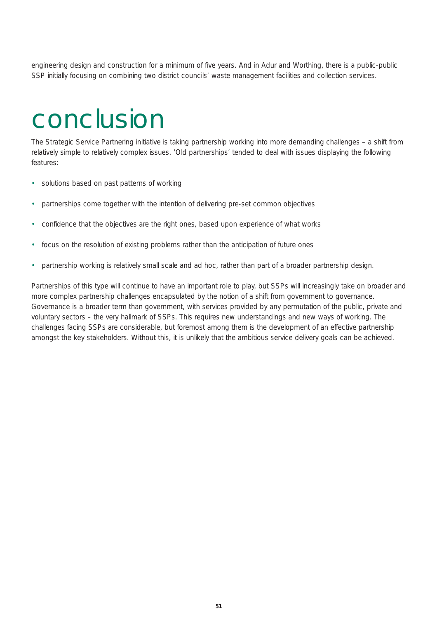engineering design and construction for a minimum of five years. And in Adur and Worthing, there is a public-public SSP initially focusing on combining two district councils' waste management facilities and collection services.

### conclusion

The Strategic Service Partnering initiative is taking partnership working into more demanding challenges – a shift from relatively simple to relatively complex issues. 'Old partnerships' tended to deal with issues displaying the following features:

- solutions based on past patterns of working
- partnerships come together with the intention of delivering pre-set common objectives
- confidence that the objectives are the right ones, based upon experience of what works
- focus on the resolution of existing problems rather than the anticipation of future ones
- partnership working is relatively small scale and *ad hoc*, rather than part of a broader partnership design.

Partnerships of this type will continue to have an important role to play, but SSPs will increasingly take on broader and more complex partnership challenges encapsulated by the notion of a shift from *government to governance*. Governance is a broader term than government, with services provided by any permutation of the public, private and voluntary sectors – the very hallmark of SSPs. This requires new understandings and new ways of working. The challenges facing SSPs are considerable, but foremost among them is the development of an effective partnership amongst the key stakeholders. Without this, it is unlikely that the ambitious service delivery goals can be achieved.